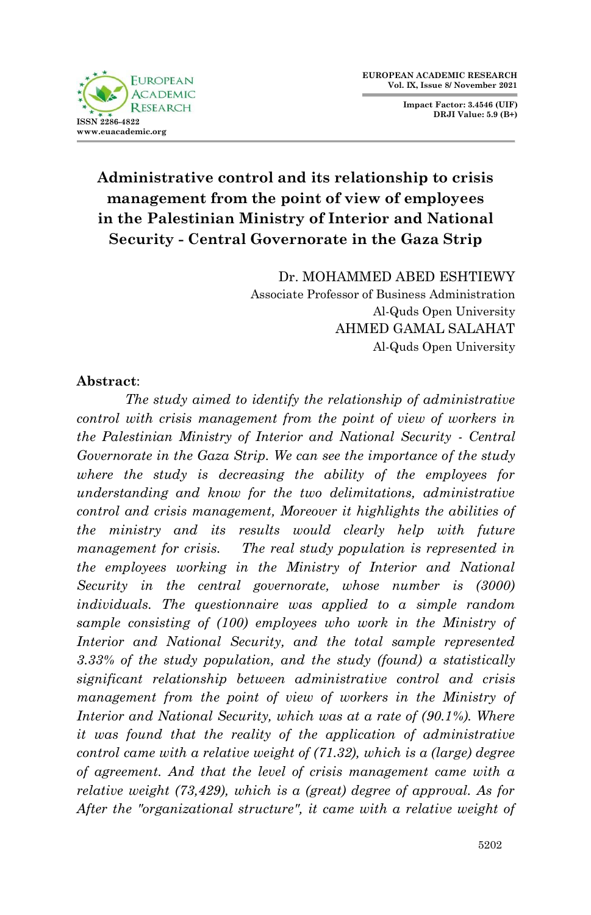

**Impact Factor: 3.4546 (UIF) DRJI Value: 5.9 (B+)**

# **Administrative control and its relationship to crisis management from the point of view of employees in the Palestinian Ministry of Interior and National Security - Central Governorate in the Gaza Strip**

Dr. MOHAMMED ABED ESHTIEWY Associate Professor of Business Administration Al-Quds Open University AHMED GAMAL SALAHAT Al-Quds Open University

### **Abstract**:

*The study aimed to identify the relationship of administrative control with crisis management from the point of view of workers in the Palestinian Ministry of Interior and National Security - Central Governorate in the Gaza Strip. We can see the importance of the study where the study is decreasing the ability of the employees for understanding and know for the two delimitations, administrative control and crisis management, Moreover it highlights the abilities of the ministry and its results would clearly help with future management for crisis.* The real study population is represented in *the employees working in the Ministry of Interior and National Security in the central governorate, whose number is (3000) individuals. The questionnaire was applied to a simple random sample consisting of (100) employees who work in the Ministry of Interior and National Security, and the total sample represented 3.33% of the study population, and the study (found) a statistically significant relationship between administrative control and crisis management from the point of view of workers in the Ministry of Interior and National Security, which was at a rate of (90.1%). Where it was found that the reality of the application of administrative control came with a relative weight of (71.32), which is a (large) degree of agreement. And that the level of crisis management came with a relative weight (73,429), which is a (great) degree of approval. As for After the "organizational structure", it came with a relative weight of*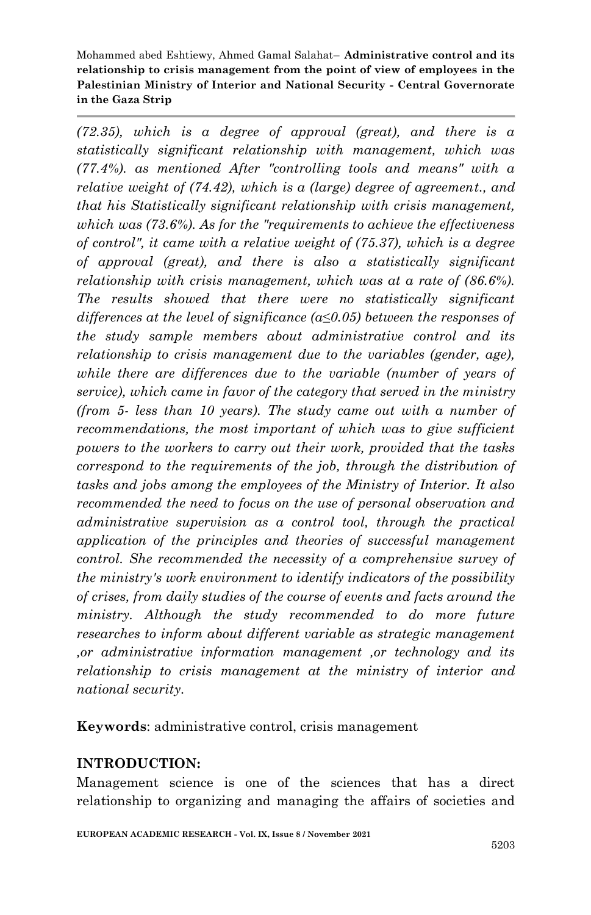*(72.35), which is a degree of approval (great), and there is a statistically significant relationship with management, which was (77.4%). as mentioned After "controlling tools and means" with a relative weight of (74.42), which is a (large) degree of agreement., and that his Statistically significant relationship with crisis management, which was (73.6%). As for the "requirements to achieve the effectiveness of control", it came with a relative weight of (75.37), which is a degree of approval (great), and there is also a statistically significant relationship with crisis management, which was at a rate of (86.6%). The results showed that there were no statistically significant differences at the level of significance (α≤0.05) between the responses of the study sample members about administrative control and its relationship to crisis management due to the variables (gender, age), while there are differences due to the variable (number of years of service), which came in favor of the category that served in the ministry (from 5- less than 10 years). The study came out with a number of recommendations, the most important of which was to give sufficient powers to the workers to carry out their work, provided that the tasks correspond to the requirements of the job, through the distribution of tasks and jobs among the employees of the Ministry of Interior. It also recommended the need to focus on the use of personal observation and administrative supervision as a control tool, through the practical application of the principles and theories of successful management control. She recommended the necessity of a comprehensive survey of the ministry's work environment to identify indicators of the possibility of crises, from daily studies of the course of events and facts around the ministry. Although the study recommended to do more future researches to inform about different variable as strategic management ,or administrative information management ,or technology and its relationship to crisis management at the ministry of interior and national security.* 

**Keywords**: administrative control, crisis management

## **INTRODUCTION:**

Management science is one of the sciences that has a direct relationship to organizing and managing the affairs of societies and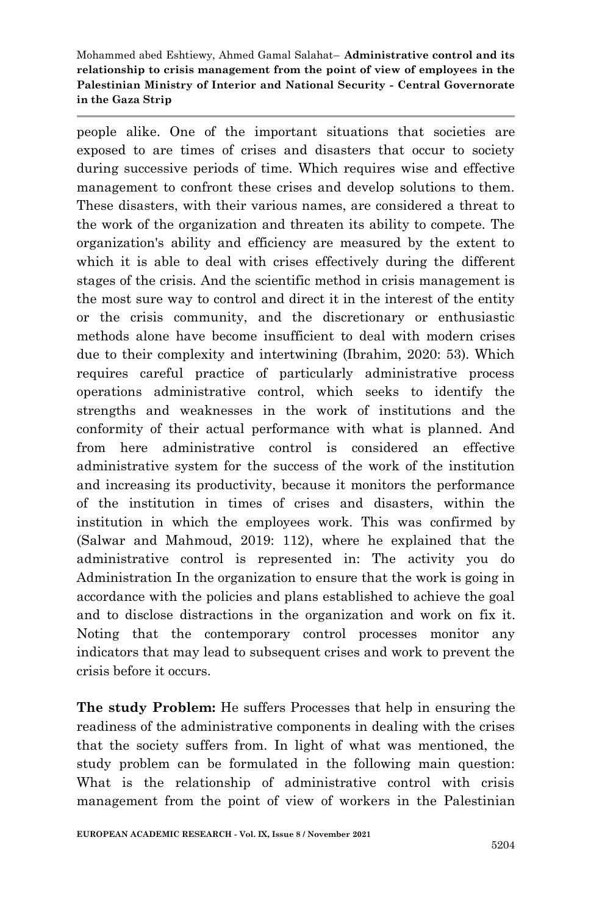people alike. One of the important situations that societies are exposed to are times of crises and disasters that occur to society during successive periods of time. Which requires wise and effective management to confront these crises and develop solutions to them. These disasters, with their various names, are considered a threat to the work of the organization and threaten its ability to compete. The organization's ability and efficiency are measured by the extent to which it is able to deal with crises effectively during the different stages of the crisis. And the scientific method in crisis management is the most sure way to control and direct it in the interest of the entity or the crisis community, and the discretionary or enthusiastic methods alone have become insufficient to deal with modern crises due to their complexity and intertwining (Ibrahim, 2020: 53). Which requires careful practice of particularly administrative process operations administrative control, which seeks to identify the strengths and weaknesses in the work of institutions and the conformity of their actual performance with what is planned. And from here administrative control is considered an effective administrative system for the success of the work of the institution and increasing its productivity, because it monitors the performance of the institution in times of crises and disasters, within the institution in which the employees work. This was confirmed by (Salwar and Mahmoud, 2019: 112), where he explained that the administrative control is represented in: The activity you do Administration In the organization to ensure that the work is going in accordance with the policies and plans established to achieve the goal and to disclose distractions in the organization and work on fix it. Noting that the contemporary control processes monitor any indicators that may lead to subsequent crises and work to prevent the crisis before it occurs.

**The study Problem:** He suffers Processes that help in ensuring the readiness of the administrative components in dealing with the crises that the society suffers from. In light of what was mentioned, the study problem can be formulated in the following main question: What is the relationship of administrative control with crisis management from the point of view of workers in the Palestinian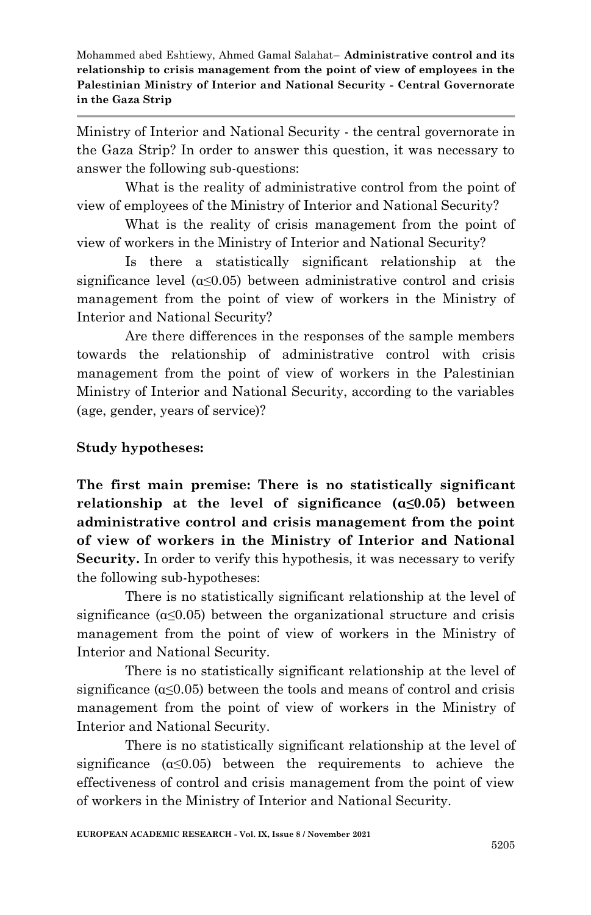Ministry of Interior and National Security - the central governorate in the Gaza Strip? In order to answer this question, it was necessary to answer the following sub-questions:

What is the reality of administrative control from the point of view of employees of the Ministry of Interior and National Security?

What is the reality of crisis management from the point of view of workers in the Ministry of Interior and National Security?

Is there a statistically significant relationship at the significance level  $(\alpha \leq 0.05)$  between administrative control and crisis management from the point of view of workers in the Ministry of Interior and National Security?

Are there differences in the responses of the sample members towards the relationship of administrative control with crisis management from the point of view of workers in the Palestinian Ministry of Interior and National Security, according to the variables (age, gender, years of service)?

### **Study hypotheses:**

**The first main premise: There is no statistically significant relationship at the level of significance (α≤0.05) between administrative control and crisis management from the point of view of workers in the Ministry of Interior and National**  Security. In order to verify this hypothesis, it was necessary to verify the following sub-hypotheses:

There is no statistically significant relationship at the level of significance ( $\alpha \leq 0.05$ ) between the organizational structure and crisis management from the point of view of workers in the Ministry of Interior and National Security.

There is no statistically significant relationship at the level of significance  $(\alpha \leq 0.05)$  between the tools and means of control and crisis management from the point of view of workers in the Ministry of Interior and National Security.

There is no statistically significant relationship at the level of significance  $(a \le 0.05)$  between the requirements to achieve the effectiveness of control and crisis management from the point of view of workers in the Ministry of Interior and National Security.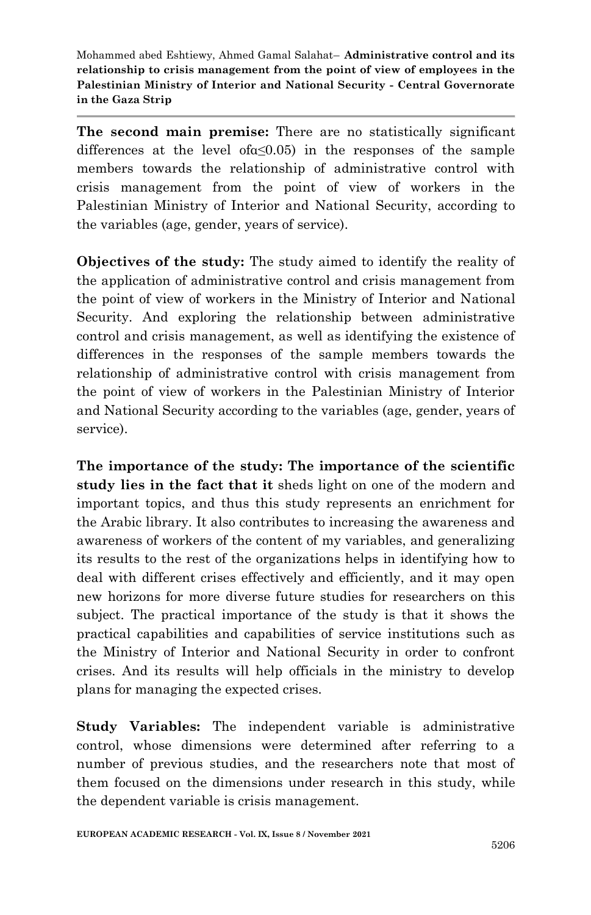**The second main premise:** There are no statistically significant differences at the level ofα≤0.05) in the responses of the sample members towards the relationship of administrative control with crisis management from the point of view of workers in the Palestinian Ministry of Interior and National Security, according to the variables (age, gender, years of service).

**Objectives of the study:** The study aimed to identify the reality of the application of administrative control and crisis management from the point of view of workers in the Ministry of Interior and National Security. And exploring the relationship between administrative control and crisis management, as well as identifying the existence of differences in the responses of the sample members towards the relationship of administrative control with crisis management from the point of view of workers in the Palestinian Ministry of Interior and National Security according to the variables (age, gender, years of service).

**The importance of the study: The importance of the scientific study lies in the fact that it** sheds light on one of the modern and important topics, and thus this study represents an enrichment for the Arabic library. It also contributes to increasing the awareness and awareness of workers of the content of my variables, and generalizing its results to the rest of the organizations helps in identifying how to deal with different crises effectively and efficiently, and it may open new horizons for more diverse future studies for researchers on this subject. The practical importance of the study is that it shows the practical capabilities and capabilities of service institutions such as the Ministry of Interior and National Security in order to confront crises. And its results will help officials in the ministry to develop plans for managing the expected crises.

**Study Variables:** The independent variable is administrative control, whose dimensions were determined after referring to a number of previous studies, and the researchers note that most of them focused on the dimensions under research in this study, while the dependent variable is crisis management.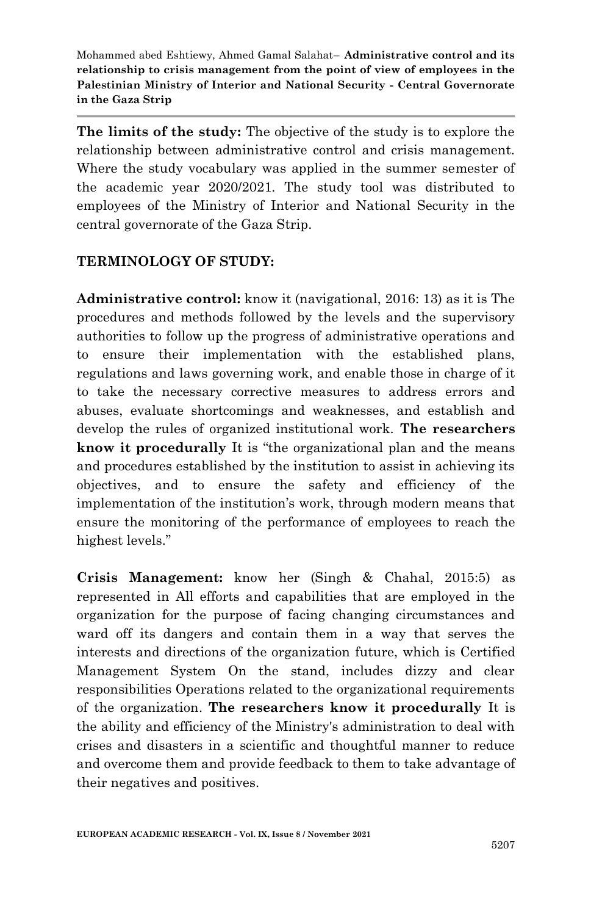**The limits of the study:** The objective of the study is to explore the relationship between administrative control and crisis management. Where the study vocabulary was applied in the summer semester of the academic year 2020/2021. The study tool was distributed to employees of the Ministry of Interior and National Security in the central governorate of the Gaza Strip.

### **TERMINOLOGY OF STUDY:**

**Administrative control:** know it (navigational, 2016: 13) as it is The procedures and methods followed by the levels and the supervisory authorities to follow up the progress of administrative operations and to ensure their implementation with the established plans, regulations and laws governing work, and enable those in charge of it to take the necessary corrective measures to address errors and abuses, evaluate shortcomings and weaknesses, and establish and develop the rules of organized institutional work. **The researchers know it procedurally** It is "the organizational plan and the means and procedures established by the institution to assist in achieving its objectives, and to ensure the safety and efficiency of the implementation of the institution's work, through modern means that ensure the monitoring of the performance of employees to reach the highest levels."

**Crisis Management:** know her (Singh & Chahal, 2015:5) as represented in All efforts and capabilities that are employed in the organization for the purpose of facing changing circumstances and ward off its dangers and contain them in a way that serves the interests and directions of the organization future, which is Certified Management System On the stand, includes dizzy and clear responsibilities Operations related to the organizational requirements of the organization. **The researchers know it procedurally** It is the ability and efficiency of the Ministry's administration to deal with crises and disasters in a scientific and thoughtful manner to reduce and overcome them and provide feedback to them to take advantage of their negatives and positives.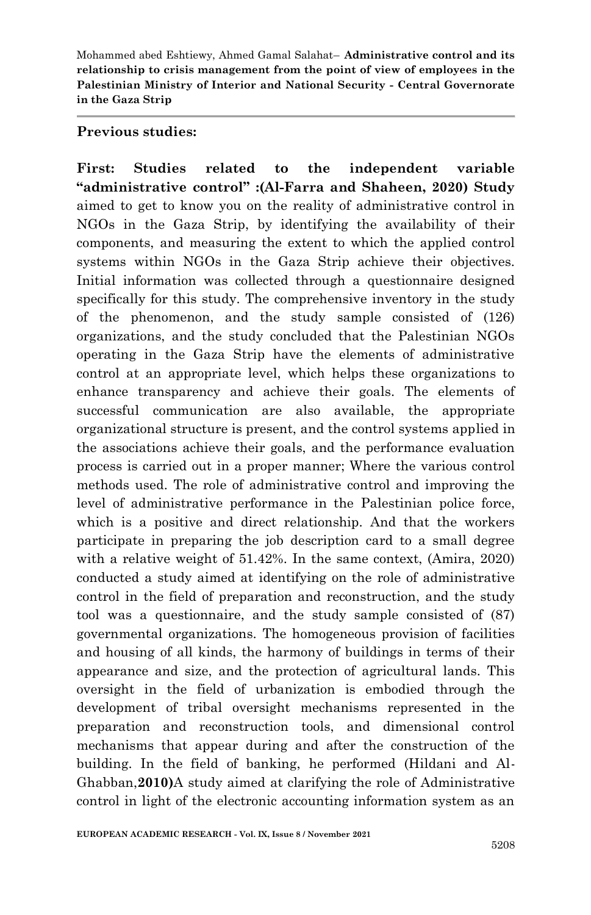### **Previous studies:**

**First: Studies related to the independent variable "administrative control" :(Al-Farra and Shaheen, 2020) Study** aimed to get to know you on the reality of administrative control in NGOs in the Gaza Strip, by identifying the availability of their components, and measuring the extent to which the applied control systems within NGOs in the Gaza Strip achieve their objectives. Initial information was collected through a questionnaire designed specifically for this study. The comprehensive inventory in the study of the phenomenon, and the study sample consisted of (126) organizations, and the study concluded that the Palestinian NGOs operating in the Gaza Strip have the elements of administrative control at an appropriate level, which helps these organizations to enhance transparency and achieve their goals. The elements of successful communication are also available, the appropriate organizational structure is present, and the control systems applied in the associations achieve their goals, and the performance evaluation process is carried out in a proper manner; Where the various control methods used. The role of administrative control and improving the level of administrative performance in the Palestinian police force, which is a positive and direct relationship. And that the workers participate in preparing the job description card to a small degree with a relative weight of 51.42%. In the same context, (Amira, 2020) conducted a study aimed at identifying on the role of administrative control in the field of preparation and reconstruction, and the study tool was a questionnaire, and the study sample consisted of (87) governmental organizations. The homogeneous provision of facilities and housing of all kinds, the harmony of buildings in terms of their appearance and size, and the protection of agricultural lands. This oversight in the field of urbanization is embodied through the development of tribal oversight mechanisms represented in the preparation and reconstruction tools, and dimensional control mechanisms that appear during and after the construction of the building. In the field of banking, he performed (Hildani and Al-Ghabban,**2010)**A study aimed at clarifying the role of Administrative control in light of the electronic accounting information system as an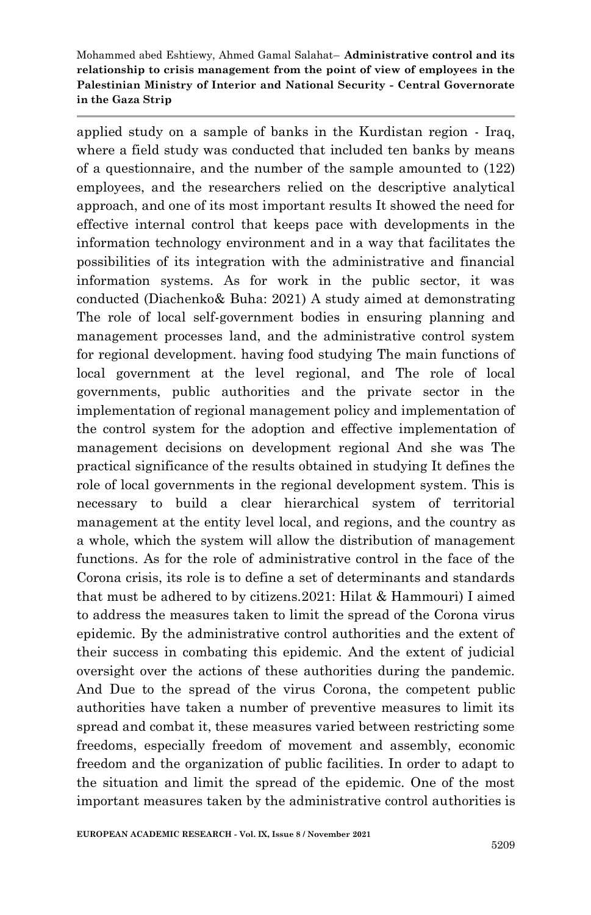applied study on a sample of banks in the Kurdistan region - Iraq, where a field study was conducted that included ten banks by means of a questionnaire, and the number of the sample amounted to (122) employees, and the researchers relied on the descriptive analytical approach, and one of its most important results It showed the need for effective internal control that keeps pace with developments in the information technology environment and in a way that facilitates the possibilities of its integration with the administrative and financial information systems. As for work in the public sector, it was conducted (Diachenko& Buha: 2021) A study aimed at demonstrating The role of local self-government bodies in ensuring planning and management processes land, and the administrative control system for regional development. having food studying The main functions of local government at the level regional, and The role of local governments, public authorities and the private sector in the implementation of regional management policy and implementation of the control system for the adoption and effective implementation of management decisions on development regional And she was The practical significance of the results obtained in studying It defines the role of local governments in the regional development system. This is necessary to build a clear hierarchical system of territorial management at the entity level local, and regions, and the country as a whole, which the system will allow the distribution of management functions. As for the role of administrative control in the face of the Corona crisis, its role is to define a set of determinants and standards that must be adhered to by citizens.2021: Hilat & Hammouri) I aimed to address the measures taken to limit the spread of the Corona virus epidemic. By the administrative control authorities and the extent of their success in combating this epidemic. And the extent of judicial oversight over the actions of these authorities during the pandemic. And Due to the spread of the virus Corona, the competent public authorities have taken a number of preventive measures to limit its spread and combat it, these measures varied between restricting some freedoms, especially freedom of movement and assembly, economic freedom and the organization of public facilities. In order to adapt to the situation and limit the spread of the epidemic. One of the most important measures taken by the administrative control authorities is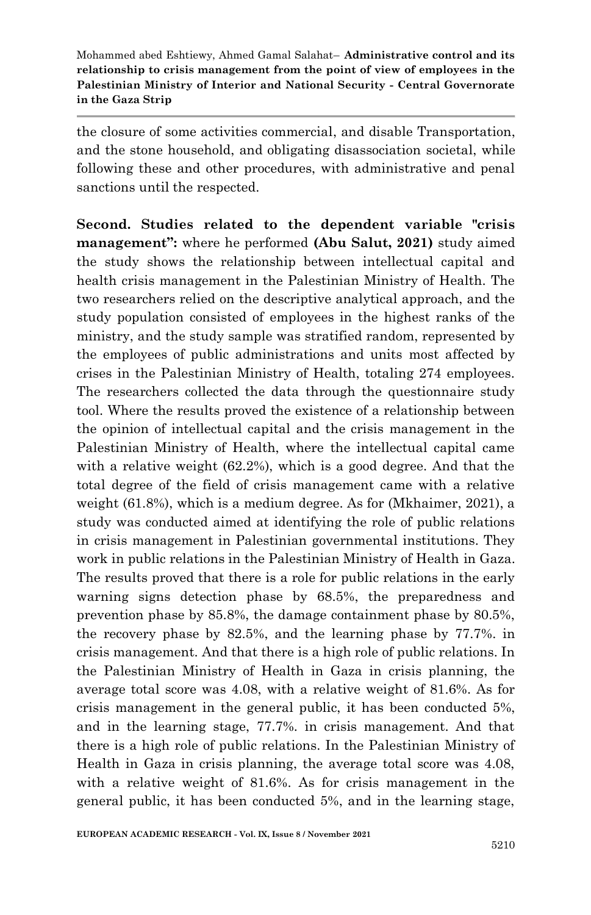the closure of some activities commercial, and disable Transportation, and the stone household, and obligating disassociation societal, while following these and other procedures, with administrative and penal sanctions until the respected.

**Second. Studies related to the dependent variable "crisis management":** where he performed **(Abu Salut, 2021)** study aimed the study shows the relationship between intellectual capital and health crisis management in the Palestinian Ministry of Health. The two researchers relied on the descriptive analytical approach, and the study population consisted of employees in the highest ranks of the ministry, and the study sample was stratified random, represented by the employees of public administrations and units most affected by crises in the Palestinian Ministry of Health, totaling 274 employees. The researchers collected the data through the questionnaire study tool. Where the results proved the existence of a relationship between the opinion of intellectual capital and the crisis management in the Palestinian Ministry of Health, where the intellectual capital came with a relative weight (62.2%), which is a good degree. And that the total degree of the field of crisis management came with a relative weight (61.8%), which is a medium degree. As for (Mkhaimer, 2021), a study was conducted aimed at identifying the role of public relations in crisis management in Palestinian governmental institutions. They work in public relations in the Palestinian Ministry of Health in Gaza. The results proved that there is a role for public relations in the early warning signs detection phase by 68.5%, the preparedness and prevention phase by 85.8%, the damage containment phase by 80.5%, the recovery phase by 82.5%, and the learning phase by 77.7%. in crisis management. And that there is a high role of public relations. In the Palestinian Ministry of Health in Gaza in crisis planning, the average total score was 4.08, with a relative weight of 81.6%. As for crisis management in the general public, it has been conducted 5%, and in the learning stage, 77.7%. in crisis management. And that there is a high role of public relations. In the Palestinian Ministry of Health in Gaza in crisis planning, the average total score was 4.08, with a relative weight of 81.6%. As for crisis management in the general public, it has been conducted 5%, and in the learning stage,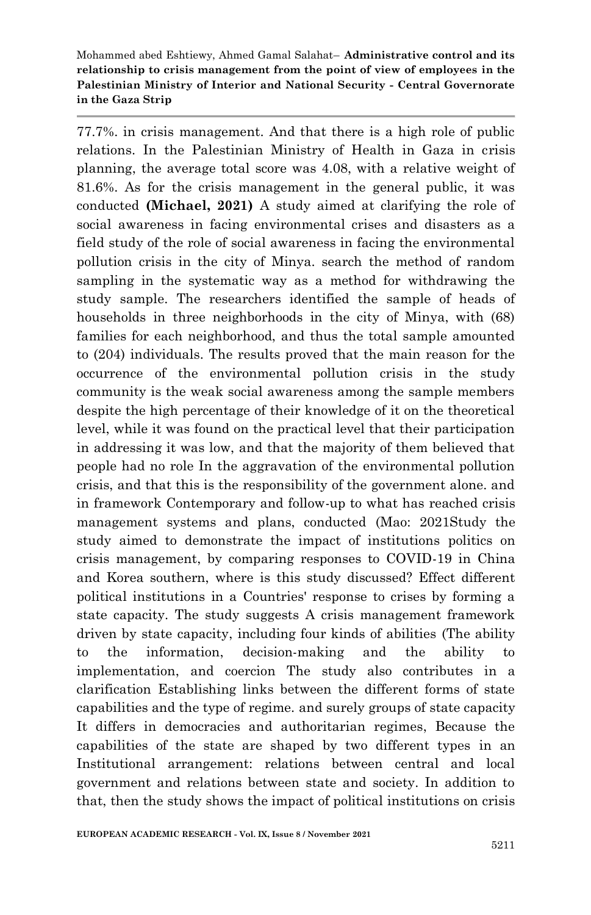77.7%. in crisis management. And that there is a high role of public relations. In the Palestinian Ministry of Health in Gaza in crisis planning, the average total score was 4.08, with a relative weight of 81.6%. As for the crisis management in the general public, it was conducted **(Michael, 2021)** A study aimed at clarifying the role of social awareness in facing environmental crises and disasters as a field study of the role of social awareness in facing the environmental pollution crisis in the city of Minya. search the method of random sampling in the systematic way as a method for withdrawing the study sample. The researchers identified the sample of heads of households in three neighborhoods in the city of Minya, with (68) families for each neighborhood, and thus the total sample amounted to (204) individuals. The results proved that the main reason for the occurrence of the environmental pollution crisis in the study community is the weak social awareness among the sample members despite the high percentage of their knowledge of it on the theoretical level, while it was found on the practical level that their participation in addressing it was low, and that the majority of them believed that people had no role In the aggravation of the environmental pollution crisis, and that this is the responsibility of the government alone. and in framework Contemporary and follow-up to what has reached crisis management systems and plans, conducted (Mao: 2021Study the study aimed to demonstrate the impact of institutions politics on crisis management, by comparing responses to COVID-19 in China and Korea southern, where is this study discussed? Effect different political institutions in a Countries' response to crises by forming a state capacity. The study suggests A crisis management framework driven by state capacity, including four kinds of abilities (The ability to the information, decision-making and the ability to implementation, and coercion The study also contributes in a clarification Establishing links between the different forms of state capabilities and the type of regime. and surely groups of state capacity It differs in democracies and authoritarian regimes, Because the capabilities of the state are shaped by two different types in an Institutional arrangement: relations between central and local government and relations between state and society. In addition to that, then the study shows the impact of political institutions on crisis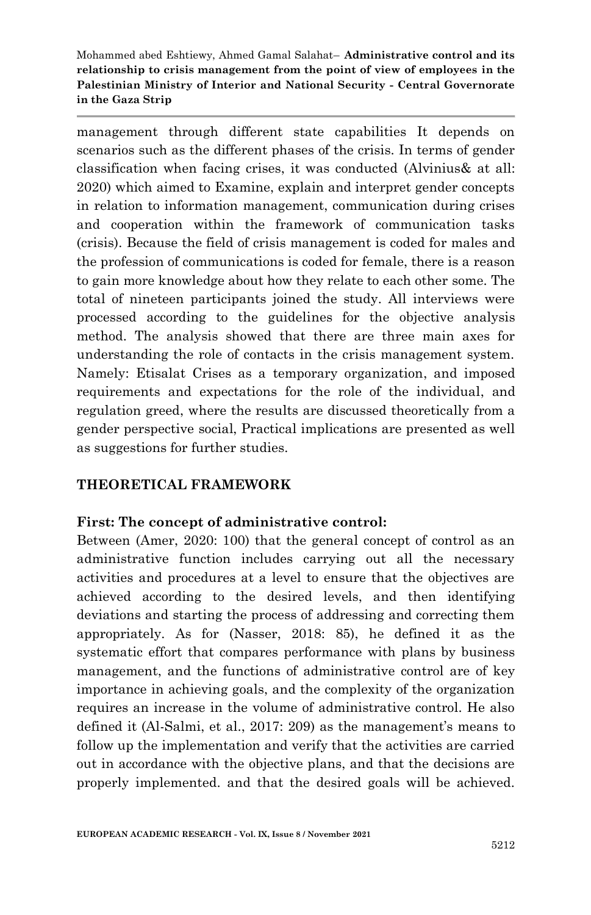management through different state capabilities It depends on scenarios such as the different phases of the crisis. In terms of gender classification when facing crises, it was conducted (Alvinius& at all: 2020) which aimed to Examine, explain and interpret gender concepts in relation to information management, communication during crises and cooperation within the framework of communication tasks (crisis). Because the field of crisis management is coded for males and the profession of communications is coded for female, there is a reason to gain more knowledge about how they relate to each other some. The total of nineteen participants joined the study. All interviews were processed according to the guidelines for the objective analysis method. The analysis showed that there are three main axes for understanding the role of contacts in the crisis management system. Namely: Etisalat Crises as a temporary organization, and imposed requirements and expectations for the role of the individual, and regulation greed, where the results are discussed theoretically from a gender perspective social, Practical implications are presented as well as suggestions for further studies.

### **THEORETICAL FRAMEWORK**

### **First: The concept of administrative control:**

Between (Amer, 2020: 100) that the general concept of control as an administrative function includes carrying out all the necessary activities and procedures at a level to ensure that the objectives are achieved according to the desired levels, and then identifying deviations and starting the process of addressing and correcting them appropriately. As for (Nasser, 2018: 85), he defined it as the systematic effort that compares performance with plans by business management, and the functions of administrative control are of key importance in achieving goals, and the complexity of the organization requires an increase in the volume of administrative control. He also defined it (Al-Salmi, et al., 2017: 209) as the management's means to follow up the implementation and verify that the activities are carried out in accordance with the objective plans, and that the decisions are properly implemented. and that the desired goals will be achieved.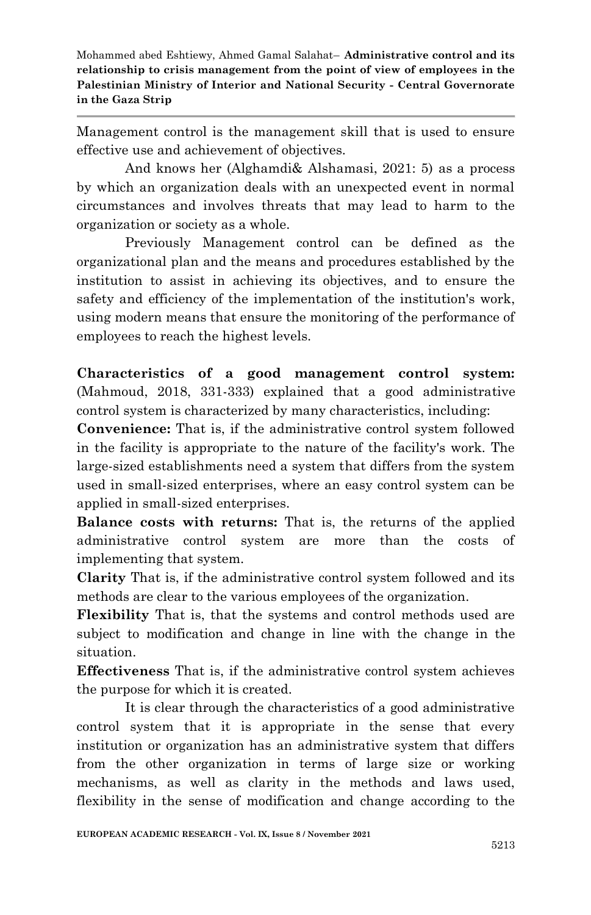Management control is the management skill that is used to ensure effective use and achievement of objectives.

And knows her (Alghamdi& Alshamasi, 2021: 5) as a process by which an organization deals with an unexpected event in normal circumstances and involves threats that may lead to harm to the organization or society as a whole.

Previously Management control can be defined as the organizational plan and the means and procedures established by the institution to assist in achieving its objectives, and to ensure the safety and efficiency of the implementation of the institution's work, using modern means that ensure the monitoring of the performance of employees to reach the highest levels.

**Characteristics of a good management control system:** (Mahmoud, 2018, 331-333) explained that a good administrative control system is characterized by many characteristics, including:

**Convenience:** That is, if the administrative control system followed in the facility is appropriate to the nature of the facility's work. The large-sized establishments need a system that differs from the system used in small-sized enterprises, where an easy control system can be applied in small-sized enterprises.

**Balance costs with returns:** That is, the returns of the applied administrative control system are more than the costs of implementing that system.

**Clarity** That is, if the administrative control system followed and its methods are clear to the various employees of the organization.

**Flexibility** That is, that the systems and control methods used are subject to modification and change in line with the change in the situation.

**Effectiveness** That is, if the administrative control system achieves the purpose for which it is created.

It is clear through the characteristics of a good administrative control system that it is appropriate in the sense that every institution or organization has an administrative system that differs from the other organization in terms of large size or working mechanisms, as well as clarity in the methods and laws used, flexibility in the sense of modification and change according to the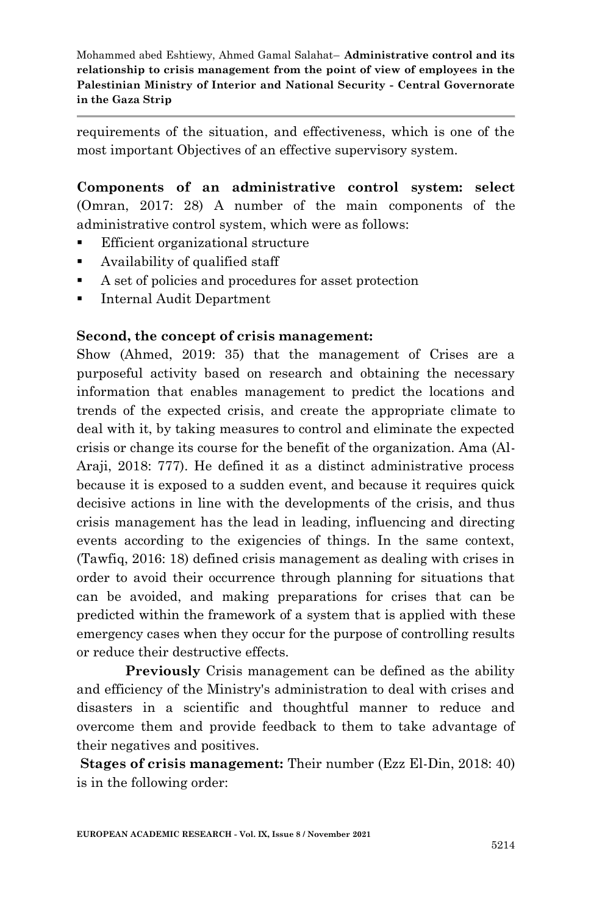requirements of the situation, and effectiveness, which is one of the most important Objectives of an effective supervisory system.

**Components of an administrative control system: select** (Omran, 2017: 28) A number of the main components of the administrative control system, which were as follows:

- Efficient organizational structure
- Availability of qualified staff
- A set of policies and procedures for asset protection
- **Internal Audit Department**

### **Second, the concept of crisis management:**

Show (Ahmed, 2019: 35) that the management of Crises are a purposeful activity based on research and obtaining the necessary information that enables management to predict the locations and trends of the expected crisis, and create the appropriate climate to deal with it, by taking measures to control and eliminate the expected crisis or change its course for the benefit of the organization. Ama (Al-Araji, 2018: 777). He defined it as a distinct administrative process because it is exposed to a sudden event, and because it requires quick decisive actions in line with the developments of the crisis, and thus crisis management has the lead in leading, influencing and directing events according to the exigencies of things. In the same context, (Tawfiq, 2016: 18) defined crisis management as dealing with crises in order to avoid their occurrence through planning for situations that can be avoided, and making preparations for crises that can be predicted within the framework of a system that is applied with these emergency cases when they occur for the purpose of controlling results or reduce their destructive effects.

**Previously** Crisis management can be defined as the ability and efficiency of the Ministry's administration to deal with crises and disasters in a scientific and thoughtful manner to reduce and overcome them and provide feedback to them to take advantage of their negatives and positives.

**Stages of crisis management:** Their number (Ezz El-Din, 2018: 40) is in the following order: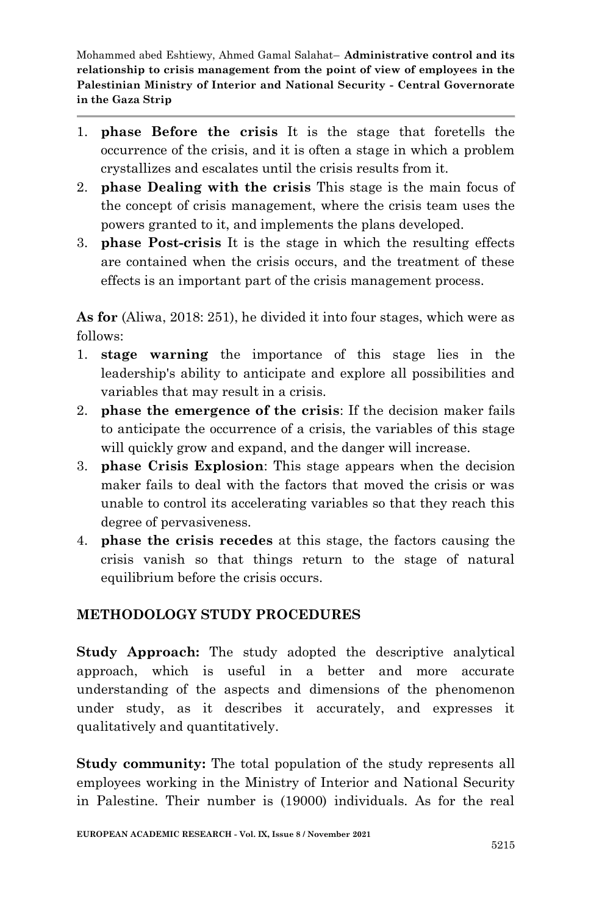- 1. **phase Before the crisis** It is the stage that foretells the occurrence of the crisis, and it is often a stage in which a problem crystallizes and escalates until the crisis results from it.
- 2. **phase Dealing with the crisis** This stage is the main focus of the concept of crisis management, where the crisis team uses the powers granted to it, and implements the plans developed.
- 3. **phase Post-crisis** It is the stage in which the resulting effects are contained when the crisis occurs, and the treatment of these effects is an important part of the crisis management process.

**As for** (Aliwa, 2018: 251), he divided it into four stages, which were as follows:

- 1. **stage warning** the importance of this stage lies in the leadership's ability to anticipate and explore all possibilities and variables that may result in a crisis.
- 2. **phase the emergence of the crisis**: If the decision maker fails to anticipate the occurrence of a crisis, the variables of this stage will quickly grow and expand, and the danger will increase.
- 3. **phase Crisis Explosion**: This stage appears when the decision maker fails to deal with the factors that moved the crisis or was unable to control its accelerating variables so that they reach this degree of pervasiveness.
- 4. **phase the crisis recedes** at this stage, the factors causing the crisis vanish so that things return to the stage of natural equilibrium before the crisis occurs.

## **METHODOLOGY STUDY PROCEDURES**

**Study Approach:** The study adopted the descriptive analytical approach, which is useful in a better and more accurate understanding of the aspects and dimensions of the phenomenon under study, as it describes it accurately, and expresses it qualitatively and quantitatively.

**Study community:** The total population of the study represents all employees working in the Ministry of Interior and National Security in Palestine. Their number is (19000) individuals. As for the real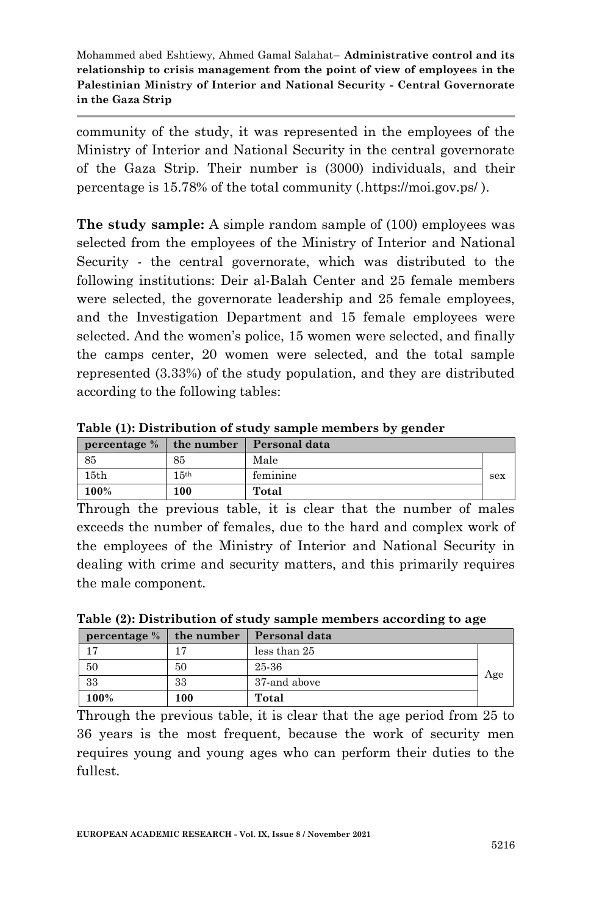community of the study, it was represented in the employees of the Ministry of Interior and National Security in the central governorate of the Gaza Strip. Their number is (3000) individuals, and their percentage is 15.78% of the total community (.https://moi.gov.ps/ ).

**The study sample:** A simple random sample of (100) employees was selected from the employees of the Ministry of Interior and National Security - the central governorate, which was distributed to the following institutions: Deir al-Balah Center and 25 female members were selected, the governorate leadership and 25 female employees, and the Investigation Department and 15 female employees were selected. And the women's police, 15 women were selected, and finally the camps center, 20 women were selected, and the total sample represented (3.33%) of the study population, and they are distributed according to the following tables:

**Table (1): Distribution of study sample members by gender**

|         |                  | percentage % the number Personal data |     |
|---------|------------------|---------------------------------------|-----|
| 85      | 85               | Male                                  |     |
| 15th    | 15 <sup>th</sup> | feminine                              | sex |
| $100\%$ | 100              | Total                                 |     |

Through the previous table, it is clear that the number of males exceeds the number of females, due to the hard and complex work of the employees of the Ministry of Interior and National Security in dealing with crime and security matters, and this primarily requires the male component.

|                           |     |               | . . |     |
|---------------------------|-----|---------------|-----|-----|
| percentage $%$ the number |     | Personal data |     |     |
|                           |     | less than 25  |     |     |
| 50                        | 50  | 25-36         |     |     |
| 33                        | 33  | 37-and above  |     | Age |
| 100%                      | 100 | Total         |     |     |

**Table (2): Distribution of study sample members according to age**

Through the previous table, it is clear that the age period from 25 to 36 years is the most frequent, because the work of security men requires young and young ages who can perform their duties to the fullest.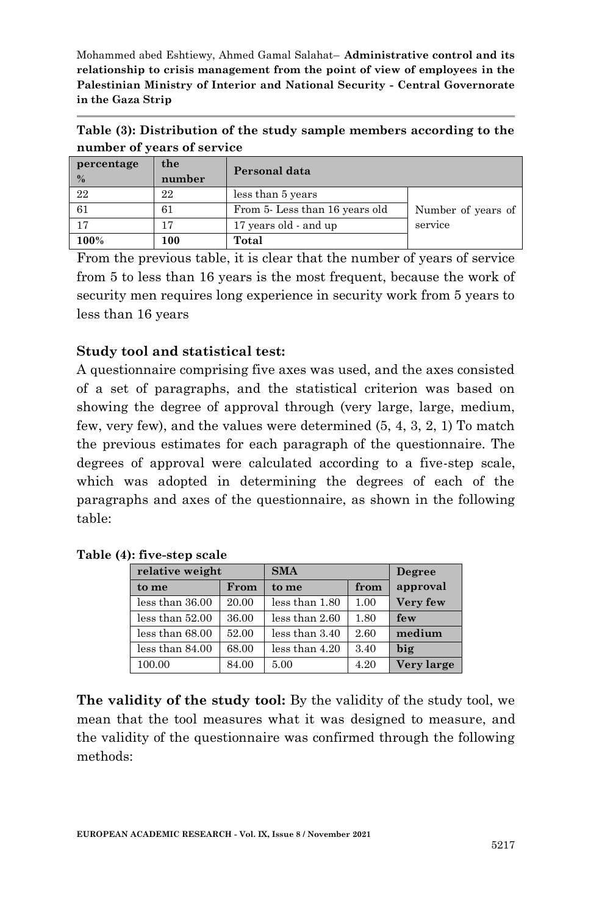**Table (3): Distribution of the study sample members according to the number of years of service**

| percentage<br>$\frac{0}{2}$ | the<br>number | Personal data                 |                    |
|-----------------------------|---------------|-------------------------------|--------------------|
| 22                          | 22            | less than 5 years             |                    |
| 61                          | 61            | From 5-Less than 16 years old | Number of years of |
| 17                          | 17            | 17 years old - and up         | service            |
| 100%                        | 100           | Total                         |                    |

From the previous table, it is clear that the number of years of service from 5 to less than 16 years is the most frequent, because the work of security men requires long experience in security work from 5 years to less than 16 years

## **Study tool and statistical test:**

A questionnaire comprising five axes was used, and the axes consisted of a set of paragraphs, and the statistical criterion was based on showing the degree of approval through (very large, large, medium, few, very few), and the values were determined (5, 4, 3, 2, 1) To match the previous estimates for each paragraph of the questionnaire. The degrees of approval were calculated according to a five-step scale, which was adopted in determining the degrees of each of the paragraphs and axes of the questionnaire, as shown in the following table:

| relative weight |       | <b>SMA</b>     | Degree |            |
|-----------------|-------|----------------|--------|------------|
| to me           | From  | to me          | from   | approval   |
| less than 36.00 | 20.00 | less than 1.80 | 1.00   | Very few   |
| less than 52.00 | 36.00 | less than 2.60 | 1.80   | few        |
| less than 68.00 | 52.00 | less than 3.40 | 2.60   | medium     |
| less than 84.00 | 68.00 | less than 4.20 | 3.40   | big        |
| 100.00          | 84.00 | 5.00           | 4.20   | Very large |

**Table (4): five-step scale**

**The validity of the study tool:** By the validity of the study tool, we mean that the tool measures what it was designed to measure, and the validity of the questionnaire was confirmed through the following methods: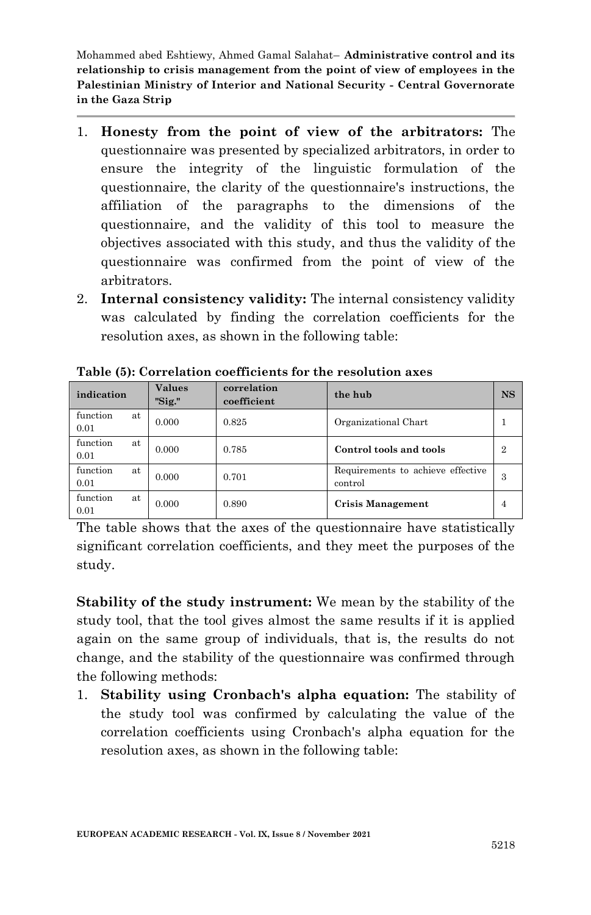- 1. **Honesty from the point of view of the arbitrators:** The questionnaire was presented by specialized arbitrators, in order to ensure the integrity of the linguistic formulation of the questionnaire, the clarity of the questionnaire's instructions, the affiliation of the paragraphs to the dimensions of the questionnaire, and the validity of this tool to measure the objectives associated with this study, and thus the validity of the questionnaire was confirmed from the point of view of the arbitrators.
- 2. **Internal consistency validity:** The internal consistency validity was calculated by finding the correlation coefficients for the resolution axes, as shown in the following table:

| indication             | <b>Values</b><br>"Sig." | correlation<br>the hub<br>coefficient |                                              | <b>NS</b> |
|------------------------|-------------------------|---------------------------------------|----------------------------------------------|-----------|
| function<br>at<br>0.01 | 0.000                   | 0.825                                 | Organizational Chart                         |           |
| function<br>at<br>0.01 | 0.000                   | 0.785                                 | Control tools and tools                      | 2         |
| function<br>at<br>0.01 | 0.000                   | 0.701                                 | Requirements to achieve effective<br>control | З         |
| function<br>at<br>0.01 | 0.000                   | 0.890                                 | <b>Crisis Management</b>                     | 4         |

**Table (5): Correlation coefficients for the resolution axes**

The table shows that the axes of the questionnaire have statistically significant correlation coefficients, and they meet the purposes of the study.

**Stability of the study instrument:** We mean by the stability of the study tool, that the tool gives almost the same results if it is applied again on the same group of individuals, that is, the results do not change, and the stability of the questionnaire was confirmed through the following methods:

1. **Stability using Cronbach's alpha equation:** The stability of the study tool was confirmed by calculating the value of the correlation coefficients using Cronbach's alpha equation for the resolution axes, as shown in the following table: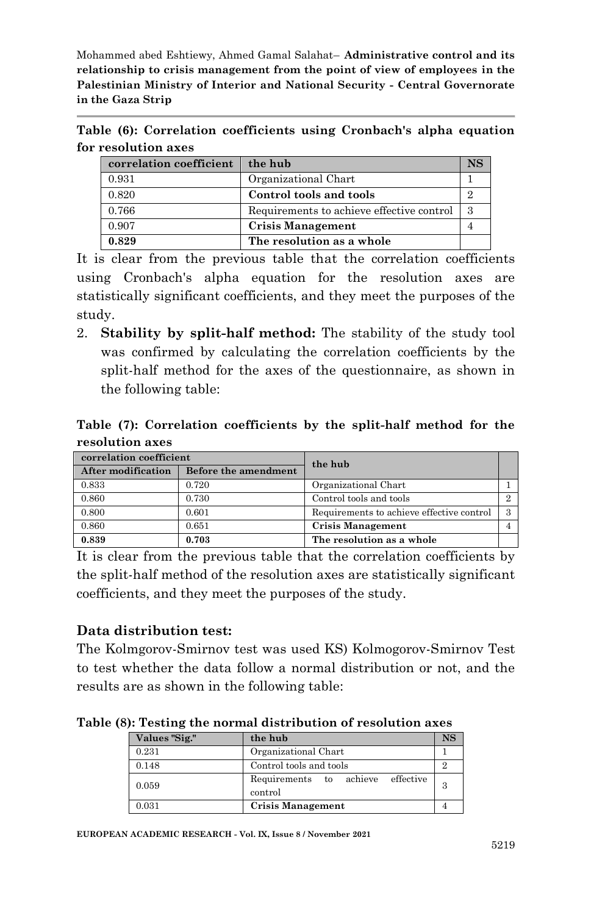**Table (6): Correlation coefficients using Cronbach's alpha equation for resolution axes**

| correlation coefficient | the hub                                   | <b>NS</b> |
|-------------------------|-------------------------------------------|-----------|
| 0.931                   | Organizational Chart                      |           |
| 0.820                   | Control tools and tools                   |           |
| 0.766                   | Requirements to achieve effective control |           |
| 0.907                   | Crisis Management                         |           |
| 0.829                   | The resolution as a whole                 |           |

It is clear from the previous table that the correlation coefficients using Cronbach's alpha equation for the resolution axes are statistically significant coefficients, and they meet the purposes of the study.

2. **Stability by split-half method:** The stability of the study tool was confirmed by calculating the correlation coefficients by the split-half method for the axes of the questionnaire, as shown in the following table:

**Table (7): Correlation coefficients by the split-half method for the resolution axes**

| correlation coefficient   |                      | the hub                                   |   |  |
|---------------------------|----------------------|-------------------------------------------|---|--|
| <b>After modification</b> | Before the amendment |                                           |   |  |
| 0.833                     | 0.720                | Organizational Chart                      |   |  |
| 0.860                     | 0.730                | Control tools and tools                   |   |  |
| 0.800                     | 0.601                | Requirements to achieve effective control | 3 |  |
| 0.860                     | 0.651                | <b>Crisis Management</b>                  |   |  |
| 0.839                     | 0.703                | The resolution as a whole                 |   |  |

It is clear from the previous table that the correlation coefficients by the split-half method of the resolution axes are statistically significant coefficients, and they meet the purposes of the study.

## **Data distribution test:**

The Kolmgorov-Smirnov test was used KS) Kolmogorov-Smirnov Test to test whether the data follow a normal distribution or not, and the results are as shown in the following table:

**Table (8): Testing the normal distribution of resolution axes**

| Values "Sig." | the hub                                         |   |  |  |  |  |
|---------------|-------------------------------------------------|---|--|--|--|--|
| 0.231         | Organizational Chart                            |   |  |  |  |  |
| 0.148         | Control tools and tools                         |   |  |  |  |  |
| 0.059         | effective<br>Requirements to achieve<br>control | 3 |  |  |  |  |
| 0.031         | <b>Crisis Management</b>                        |   |  |  |  |  |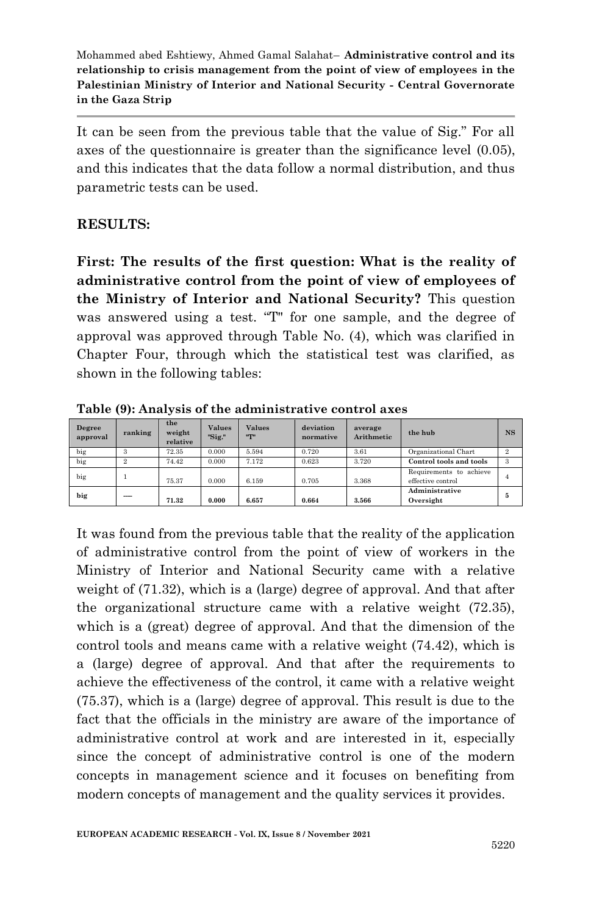It can be seen from the previous table that the value of Sig." For all axes of the questionnaire is greater than the significance level (0.05), and this indicates that the data follow a normal distribution, and thus parametric tests can be used.

### **RESULTS:**

**First: The results of the first question: What is the reality of administrative control from the point of view of employees of the Ministry of Interior and National Security?** This question was answered using a test. "T" for one sample, and the degree of approval was approved through Table No. (4), which was clarified in Chapter Four, through which the statistical test was clarified, as shown in the following tables:

| Degree<br>approval | ranking        | the<br>weight<br>relative | <b>Values</b><br>"Sig." | <b>Values</b><br>"T" | deviation<br>normative | average<br>Arithmetic | the hub                                      | <b>NS</b>      |
|--------------------|----------------|---------------------------|-------------------------|----------------------|------------------------|-----------------------|----------------------------------------------|----------------|
| big                | 3              | 72.35                     | 0.000                   | 5.594                | 0.720                  | 3.61                  | Organizational Chart                         | $\overline{2}$ |
| big                | $\overline{2}$ | 74.42                     | 0.000                   | 7.172                | 0.623                  | 3.720                 | Control tools and tools                      | 3              |
| big                |                | 75.37                     | 0.000                   | 6.159                | 0.705                  | 3.368                 | Requirements to achieve<br>effective control | 4              |
| big                | ----           | 71.32                     | 0.000                   | 6.657                | 0.664                  | 3.566                 | Administrative<br>Oversight                  | 5              |

**Table (9): Analysis of the administrative control axes**

It was found from the previous table that the reality of the application of administrative control from the point of view of workers in the Ministry of Interior and National Security came with a relative weight of (71.32), which is a (large) degree of approval. And that after the organizational structure came with a relative weight (72.35), which is a (great) degree of approval. And that the dimension of the control tools and means came with a relative weight (74.42), which is a (large) degree of approval. And that after the requirements to achieve the effectiveness of the control, it came with a relative weight (75.37), which is a (large) degree of approval. This result is due to the fact that the officials in the ministry are aware of the importance of administrative control at work and are interested in it, especially since the concept of administrative control is one of the modern concepts in management science and it focuses on benefiting from modern concepts of management and the quality services it provides.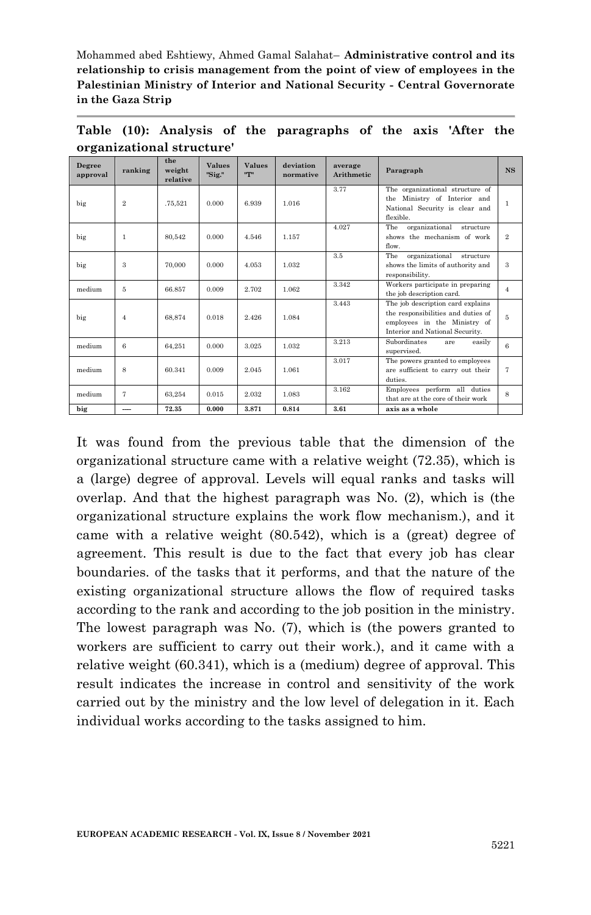| Degree<br>approval | ranking        | the<br>weight<br>relative | <b>Values</b><br>"Sig." | <b>Values</b><br>"T" | deviation<br>normative | average<br><b>Arithmetic</b> | Paragraph                                                                                                                                  | <b>NS</b>      |
|--------------------|----------------|---------------------------|-------------------------|----------------------|------------------------|------------------------------|--------------------------------------------------------------------------------------------------------------------------------------------|----------------|
| big                | $\overline{2}$ | .75.521                   | 0.000                   | 6.939                | 1.016                  | 3.77                         | The organizational structure of<br>the Ministry of Interior and<br>National Security is clear and<br>flexible.                             | 1              |
| big                | 1              | 80.542                    | 0.000                   | 4.546                | 1.157                  | 4.027                        | The<br>organizational<br>structure<br>shows the mechanism of work<br>flow.                                                                 | $\overline{2}$ |
| big                | 3              | 70,000                    | 0.000                   | 4.053                | 1.032                  | 3.5                          | The<br>organizational<br>structure<br>shows the limits of authority and<br>responsibility.                                                 | 3              |
| medium             | 5              | 66.857                    | 0.009                   | 2.702                | 1.062                  | 3.342                        | Workers participate in preparing<br>the job description card.                                                                              | $\overline{4}$ |
| big                | $\overline{4}$ | 68.874                    | 0.018                   | 2.426                | 1.084                  | 3.443                        | The job description card explains<br>the responsibilities and duties of<br>employees in the Ministry of<br>Interior and National Security. | 5              |
| medium             | 6              | 64.251                    | 0.000                   | 3.025                | 1.032                  | 3.213                        | Subordinates<br>easily<br>are<br>supervised.                                                                                               | 6              |
| medium             | 8              | 60.341                    | 0.009                   | 2.045                | 1.061                  | 3.017                        | The powers granted to employees<br>are sufficient to carry out their<br>duties.                                                            | 7              |
| medium             | 7              | 63.254                    | 0.015                   | 2.032                | 1.083                  | 3.162                        | Employees perform all duties<br>that are at the core of their work                                                                         | 8              |
| big                |                | 72.35                     | 0.000                   | 3.871                | 0.814                  | 3.61                         | axis as a whole                                                                                                                            |                |

**Table (10): Analysis of the paragraphs of the axis 'After the organizational structure'**

It was found from the previous table that the dimension of the organizational structure came with a relative weight (72.35), which is a (large) degree of approval. Levels will equal ranks and tasks will overlap. And that the highest paragraph was No. (2), which is (the organizational structure explains the work flow mechanism.), and it came with a relative weight (80.542), which is a (great) degree of agreement. This result is due to the fact that every job has clear boundaries. of the tasks that it performs, and that the nature of the existing organizational structure allows the flow of required tasks according to the rank and according to the job position in the ministry. The lowest paragraph was No. (7), which is (the powers granted to workers are sufficient to carry out their work.), and it came with a relative weight (60.341), which is a (medium) degree of approval. This result indicates the increase in control and sensitivity of the work carried out by the ministry and the low level of delegation in it. Each individual works according to the tasks assigned to him.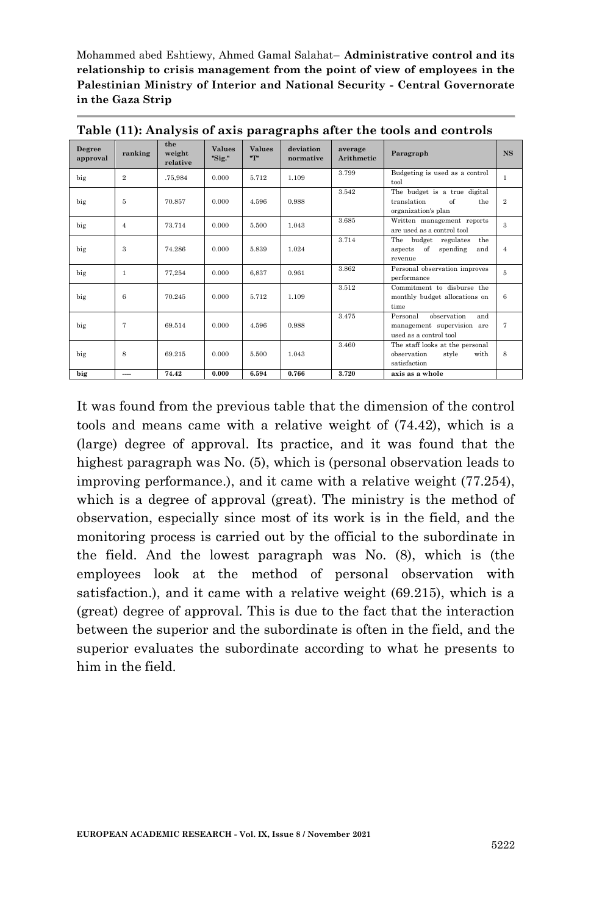| Degree<br>approval | ranking        | the<br>weight<br>relative | <b>Values</b><br>"Sig." | <b>Values</b><br>"T" | deviation<br>normative | average<br>Arithmetic | Paragraph                                                                               | <b>NS</b>      |
|--------------------|----------------|---------------------------|-------------------------|----------------------|------------------------|-----------------------|-----------------------------------------------------------------------------------------|----------------|
| big                | $\overline{2}$ | .75.984                   | 0.000                   | 5.712                | 1.109                  | 3.799                 | Budgeting is used as a control<br>tool                                                  | 1              |
| big                | 5              | 70.857                    | 0.000                   | 4.596                | 0.988                  | 3.542                 | The budget is a true digital<br>translation<br>$\alpha$ f<br>the<br>organization's plan | $\overline{2}$ |
| big                | $\overline{4}$ | 73.714                    | 0.000                   | 5.500                | 1.043                  | 3.685                 | Written management reports<br>are used as a control tool                                | 3              |
| big                | 3              | 74.286                    | 0.000                   | 5.839                | 1.024                  | 3.714                 | The<br>budget regulates<br>the<br>of<br>spending<br>and<br>aspects<br>revenue           | $\overline{4}$ |
| big                | 1              | 77.254                    | 0.000                   | 6.837                | 0.961                  | 3.862                 | Personal observation improves<br>performance                                            | 5              |
| big                | 6              | 70.245                    | 0.000                   | 5.712                | 1.109                  | 3.512                 | Commitment to disburse the<br>monthly budget allocations on<br>time                     | 6              |
| big                | $\overline{7}$ | 69.514                    | 0.000                   | 4.596                | 0.988                  | 3.475                 | observation<br>and<br>Personal<br>management supervision are<br>used as a control tool  | $\tau$         |
| big                | 8              | 69.215                    | 0.000                   | 5.500                | 1.043                  | 3.460                 | The staff looks at the personal<br>observation<br>style<br>with<br>satisfaction         | 8              |
| big                | ---            | 74.42                     | 0.000                   | 6.594                | 0.766                  | 3.720                 | axis as a whole                                                                         |                |

**Table (11): Analysis of axis paragraphs after the tools and controls**

It was found from the previous table that the dimension of the control tools and means came with a relative weight of (74.42), which is a (large) degree of approval. Its practice, and it was found that the highest paragraph was No. (5), which is (personal observation leads to improving performance.), and it came with a relative weight (77.254), which is a degree of approval (great). The ministry is the method of observation, especially since most of its work is in the field, and the monitoring process is carried out by the official to the subordinate in the field. And the lowest paragraph was No. (8), which is (the employees look at the method of personal observation with satisfaction.), and it came with a relative weight (69.215), which is a (great) degree of approval. This is due to the fact that the interaction between the superior and the subordinate is often in the field, and the superior evaluates the subordinate according to what he presents to him in the field.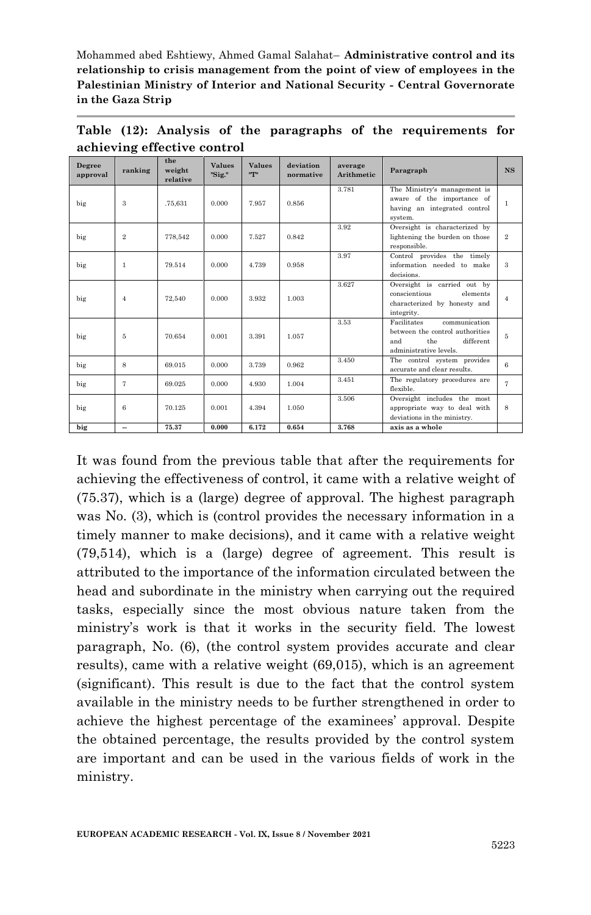| Degree<br>approval | ranking                  | the<br>weight<br>relative | <b>Values</b><br>"Sig." | <b>Values</b><br>"T" | deviation<br>normative | average<br>Arithmetic | Paragraph                                                                                                            | <b>NS</b>      |
|--------------------|--------------------------|---------------------------|-------------------------|----------------------|------------------------|-----------------------|----------------------------------------------------------------------------------------------------------------------|----------------|
| big                | 3                        | .75.631                   | 0.000                   | 7.957                | 0.856                  | 3.781                 | The Ministry's management is<br>aware of the importance of<br>having an integrated control<br>system.                | $\mathbf{1}$   |
| big                | $\mathbf{2}$             | 778.542                   | 0.000                   | 7.527                | 0.842                  | 3.92                  | Oversight is characterized by<br>lightening the burden on those<br>responsible.                                      | $\overline{2}$ |
| big                | $\mathbf{1}$             | 79.514                    | 0.000                   | 4.739                | 0.958                  | 3.97                  | Control provides the timely<br>information needed to make<br>decisions.                                              | 3              |
| big                | $\overline{4}$           | 72.540                    | 0.000                   | 3.932                | 1.003                  | 3.627                 | Oversight is carried out by<br>conscientious<br>elements<br>characterized by honesty and<br>integrity.               | $\overline{4}$ |
| big                | 5                        | 70.654                    | 0.001                   | 3.391                | 1.057                  | 3.53                  | Facilitates<br>communication<br>between the control authorities<br>the<br>different<br>and<br>administrative levels. | 5              |
| big                | 8                        | 69.015                    | 0.000                   | 3.739                | 0.962                  | 3.450                 | The control system provides<br>accurate and clear results.                                                           | 6              |
| big                | 7                        | 69.025                    | 0.000                   | 4.930                | 1.004                  | 3.451                 | The regulatory procedures are<br>flexible.                                                                           | 7              |
| big                | 6                        | 70.125                    | 0.001                   | 4.394                | 1.050                  | 3.506                 | Oversight includes the most<br>appropriate way to deal with<br>deviations in the ministry.                           | 8              |
| big                | $\overline{\phantom{a}}$ | 75.37                     | 0.000                   | 6.172                | 0.654                  | 3.768                 | axis as a whole                                                                                                      |                |

**Table (12): Analysis of the paragraphs of the requirements for achieving effective control**

It was found from the previous table that after the requirements for achieving the effectiveness of control, it came with a relative weight of (75.37), which is a (large) degree of approval. The highest paragraph was No. (3), which is (control provides the necessary information in a timely manner to make decisions), and it came with a relative weight (79,514), which is a (large) degree of agreement. This result is attributed to the importance of the information circulated between the head and subordinate in the ministry when carrying out the required tasks, especially since the most obvious nature taken from the ministry's work is that it works in the security field. The lowest paragraph, No. (6), (the control system provides accurate and clear results), came with a relative weight (69,015), which is an agreement (significant). This result is due to the fact that the control system available in the ministry needs to be further strengthened in order to achieve the highest percentage of the examinees' approval. Despite the obtained percentage, the results provided by the control system are important and can be used in the various fields of work in the ministry.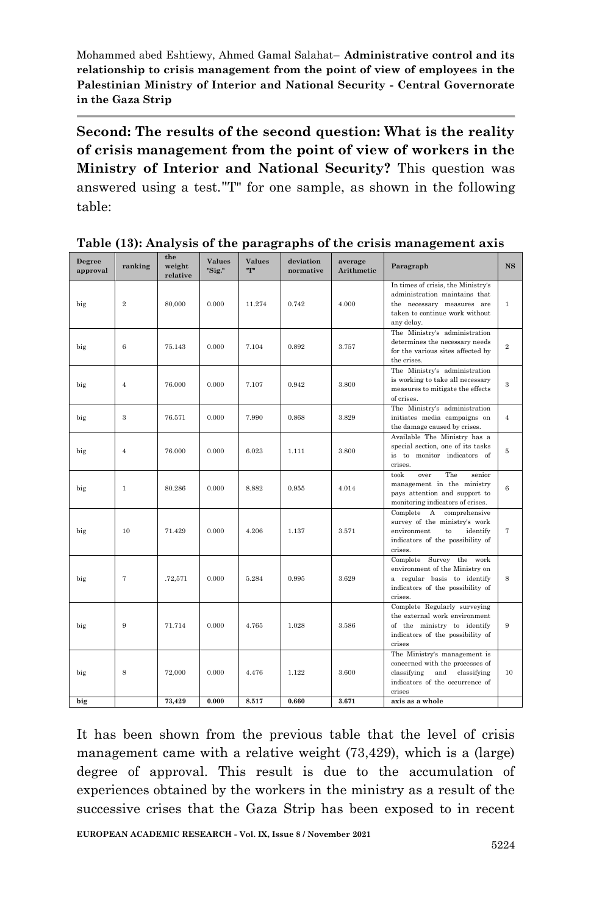**Second: The results of the second question: What is the reality of crisis management from the point of view of workers in the Ministry of Interior and National Security?** This question was answered using a test."T" for one sample, as shown in the following table:

| Degree<br>approval | ranking        | the<br>weight<br>relative | <b>Values</b><br>"Sig." | <b>Values</b><br>ո-րո | deviation<br>normative | average<br>Arithmetic | Paragraph                                                                                                                                         | <b>NS</b>      |
|--------------------|----------------|---------------------------|-------------------------|-----------------------|------------------------|-----------------------|---------------------------------------------------------------------------------------------------------------------------------------------------|----------------|
| big                | $\overline{2}$ | 80,000                    | 0.000                   | 11.274                | 0.742                  | 4.000                 | In times of crisis, the Ministry's<br>administration maintains that<br>the necessary measures are<br>taken to continue work without<br>any delay. | $\mathbf{1}$   |
| big                | 6              | 75.143                    | 0.000                   | 7.104                 | 0.892                  | 3.757                 | The Ministry's administration<br>determines the necessary needs<br>for the various sites affected by<br>the crises.                               | $\overline{2}$ |
| big                | $\overline{4}$ | 76.000                    | 0.000                   | 7.107                 | 0.942                  | 3.800                 | The Ministry's administration<br>is working to take all necessary<br>measures to mitigate the effects<br>of crises.                               | 3              |
| big                | 3              | 76.571                    | 0.000                   | 7.990                 | 0.868                  | 3.829                 | The Ministry's administration<br>initiates media campaigns on<br>the damage caused by crises.                                                     | $\overline{4}$ |
| big                | $\overline{4}$ | 76.000                    | 0.000                   | 6.023                 | 1.111                  | 3.800                 | Available The Ministry has a<br>special section, one of its tasks<br>is to monitor indicators of<br>crises.                                       | 5              |
| big                | $\mathbf{1}$   | 80.286                    | 0.000                   | 8.882                 | 0.955                  | 4.014                 | The<br>took<br>over<br>senior<br>management in the ministry<br>pays attention and support to<br>monitoring indicators of crises.                  | 6              |
| big                | 10             | 71.429                    | 0.000                   | 4.206                 | 1.137                  | 3.571                 | Complete A comprehensive<br>survey of the ministry's work<br>environment<br>to<br>identify<br>indicators of the possibility of<br>crises.         | $\tau$         |
| big                | $\overline{7}$ | .72,571                   | 0.000                   | 5.284                 | 0.995                  | 3.629                 | Complete Survey the work<br>environment of the Ministry on<br>a regular basis to identify<br>indicators of the possibility of<br>crises.          | 8              |
| big                | 9              | 71.714                    | 0.000                   | 4.765                 | 1.028                  | 3.586                 | Complete Regularly surveying<br>the external work environment<br>of the ministry to identify<br>indicators of the possibility of<br>crises        | 9              |
| big                | 8              | 72.000                    | 0.000                   | 4.476                 | 1.122                  | 3.600                 | The Ministry's management is<br>concerned with the processes of<br>classifying<br>and classifying<br>indicators of the occurrence of<br>crises    | 10             |
| big                |                | 73,429                    | 0.000                   | 8.517                 | 0.660                  | 3.671                 | axis as a whole                                                                                                                                   |                |

**Table (13): Analysis of the paragraphs of the crisis management axis**

It has been shown from the previous table that the level of crisis management came with a relative weight (73,429), which is a (large) degree of approval. This result is due to the accumulation of experiences obtained by the workers in the ministry as a result of the successive crises that the Gaza Strip has been exposed to in recent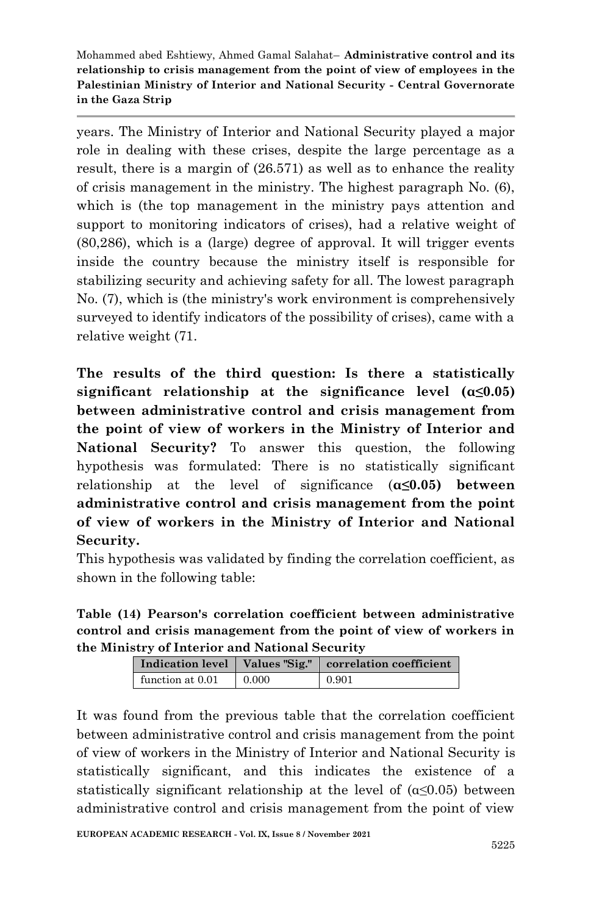years. The Ministry of Interior and National Security played a major role in dealing with these crises, despite the large percentage as a result, there is a margin of (26.571) as well as to enhance the reality of crisis management in the ministry. The highest paragraph No. (6), which is (the top management in the ministry pays attention and support to monitoring indicators of crises), had a relative weight of (80,286), which is a (large) degree of approval. It will trigger events inside the country because the ministry itself is responsible for stabilizing security and achieving safety for all. The lowest paragraph No. (7), which is (the ministry's work environment is comprehensively surveyed to identify indicators of the possibility of crises), came with a relative weight (71.

**The results of the third question: Is there a statistically significant relationship at the significance level (α≤0.05) between administrative control and crisis management from the point of view of workers in the Ministry of Interior and National Security?** To answer this question, the following hypothesis was formulated: There is no statistically significant relationship at the level of significance (**α≤0.05) between administrative control and crisis management from the point of view of workers in the Ministry of Interior and National Security.**

This hypothesis was validated by finding the correlation coefficient, as shown in the following table:

**Table (14) Pearson's correlation coefficient between administrative control and crisis management from the point of view of workers in the Ministry of Interior and National Security**

| Indication level   Values "Sig." |       | correlation coefficient |
|----------------------------------|-------|-------------------------|
| function at 0.01                 | 0.000 | 0.901                   |

It was found from the previous table that the correlation coefficient between administrative control and crisis management from the point of view of workers in the Ministry of Interior and National Security is statistically significant, and this indicates the existence of a statistically significant relationship at the level of  $(\alpha \leq 0.05)$  between administrative control and crisis management from the point of view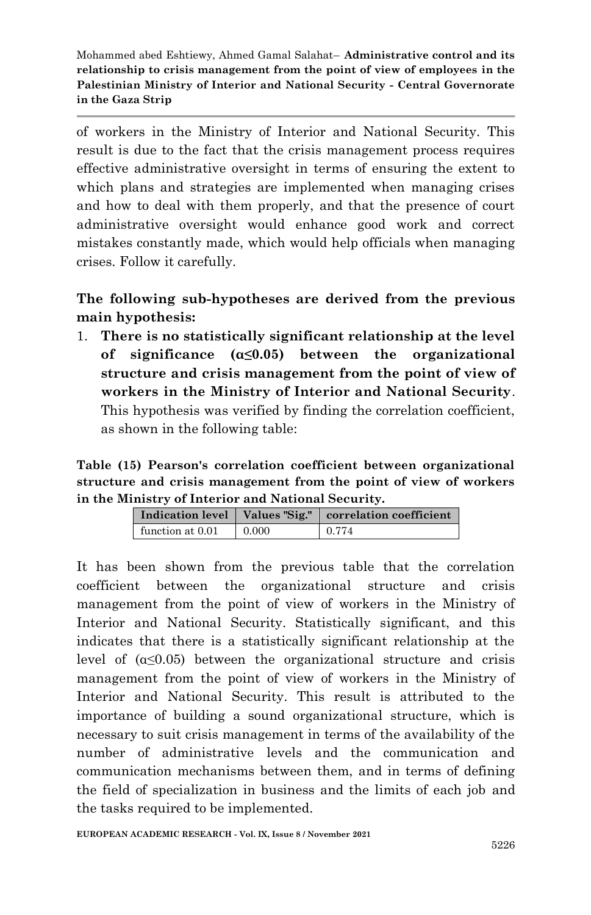of workers in the Ministry of Interior and National Security. This result is due to the fact that the crisis management process requires effective administrative oversight in terms of ensuring the extent to which plans and strategies are implemented when managing crises and how to deal with them properly, and that the presence of court administrative oversight would enhance good work and correct mistakes constantly made, which would help officials when managing crises. Follow it carefully.

**The following sub-hypotheses are derived from the previous main hypothesis:** 

1. **There is no statistically significant relationship at the level of significance (α≤0.05) between the organizational structure and crisis management from the point of view of workers in the Ministry of Interior and National Security**. This hypothesis was verified by finding the correlation coefficient, as shown in the following table:

**Table (15) Pearson's correlation coefficient between organizational structure and crisis management from the point of view of workers in the Ministry of Interior and National Security.**

|                  |       | Indication level   Values "Sig."   correlation coefficient |  |
|------------------|-------|------------------------------------------------------------|--|
| function at 0.01 | 0.000 | 0.774                                                      |  |

It has been shown from the previous table that the correlation coefficient between the organizational structure and crisis management from the point of view of workers in the Ministry of Interior and National Security. Statistically significant, and this indicates that there is a statistically significant relationship at the level of  $(a \leq 0.05)$  between the organizational structure and crisis management from the point of view of workers in the Ministry of Interior and National Security. This result is attributed to the importance of building a sound organizational structure, which is necessary to suit crisis management in terms of the availability of the number of administrative levels and the communication and communication mechanisms between them, and in terms of defining the field of specialization in business and the limits of each job and the tasks required to be implemented.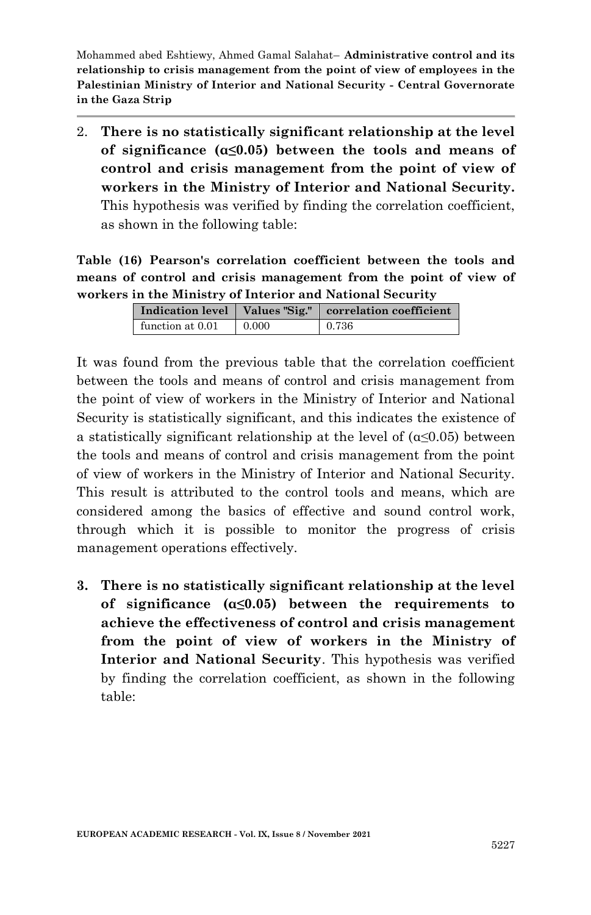2. **There is no statistically significant relationship at the level of significance (α≤0.05) between the tools and means of control and crisis management from the point of view of workers in the Ministry of Interior and National Security.** This hypothesis was verified by finding the correlation coefficient, as shown in the following table:

**Table (16) Pearson's correlation coefficient between the tools and means of control and crisis management from the point of view of workers in the Ministry of Interior and National Security**

|                  |       | .                                                          |
|------------------|-------|------------------------------------------------------------|
|                  |       | Indication level   Values "Sig."   correlation coefficient |
| function at 0.01 | 0.000 | 0.736                                                      |

It was found from the previous table that the correlation coefficient between the tools and means of control and crisis management from the point of view of workers in the Ministry of Interior and National Security is statistically significant, and this indicates the existence of a statistically significant relationship at the level of  $(\alpha \leq 0.05)$  between the tools and means of control and crisis management from the point of view of workers in the Ministry of Interior and National Security. This result is attributed to the control tools and means, which are considered among the basics of effective and sound control work, through which it is possible to monitor the progress of crisis management operations effectively.

**3. There is no statistically significant relationship at the level of significance (α≤0.05) between the requirements to achieve the effectiveness of control and crisis management from the point of view of workers in the Ministry of Interior and National Security**. This hypothesis was verified by finding the correlation coefficient, as shown in the following table: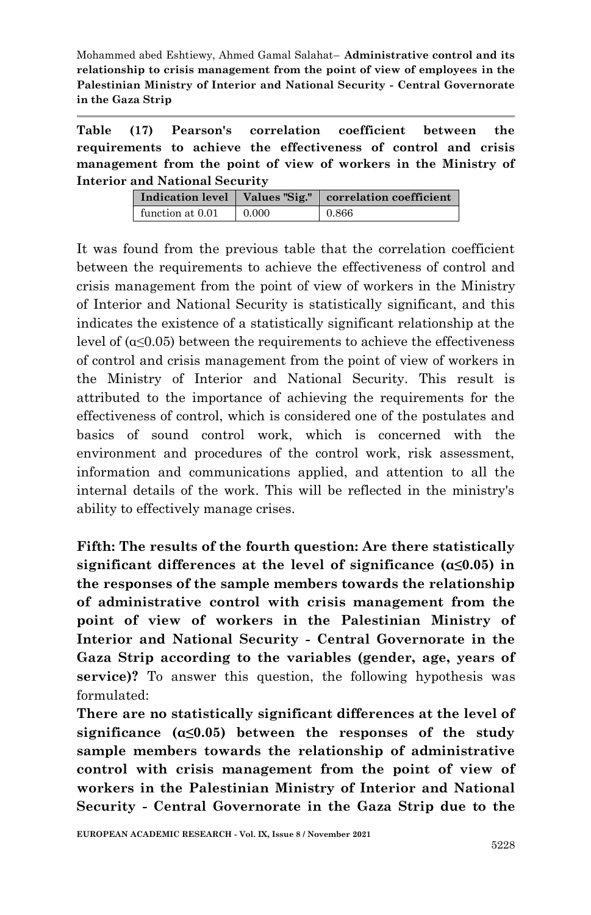**Table (17) Pearson's correlation coefficient between the requirements to achieve the effectiveness of control and crisis management from the point of view of workers in the Ministry of Interior and National Security**

|                  |       | Indication level   Values "Sig."   correlation coefficient |  |
|------------------|-------|------------------------------------------------------------|--|
| function at 0.01 | 0.000 | 0.866                                                      |  |

It was found from the previous table that the correlation coefficient between the requirements to achieve the effectiveness of control and crisis management from the point of view of workers in the Ministry of Interior and National Security is statistically significant, and this indicates the existence of a statistically significant relationship at the level of  $(α \le 0.05)$  between the requirements to achieve the effectiveness of control and crisis management from the point of view of workers in the Ministry of Interior and National Security. This result is attributed to the importance of achieving the requirements for the effectiveness of control, which is considered one of the postulates and basics of sound control work, which is concerned with the environment and procedures of the control work, risk assessment, information and communications applied, and attention to all the internal details of the work. This will be reflected in the ministry's ability to effectively manage crises.

**Fifth: The results of the fourth question: Are there statistically significant differences at the level of significance (α≤0.05) in the responses of the sample members towards the relationship of administrative control with crisis management from the point of view of workers in the Palestinian Ministry of Interior and National Security - Central Governorate in the Gaza Strip according to the variables (gender, age, years of service)?** To answer this question, the following hypothesis was formulated:

**There are no statistically significant differences at the level of significance (α≤0.05) between the responses of the study sample members towards the relationship of administrative control with crisis management from the point of view of workers in the Palestinian Ministry of Interior and National Security - Central Governorate in the Gaza Strip due to the**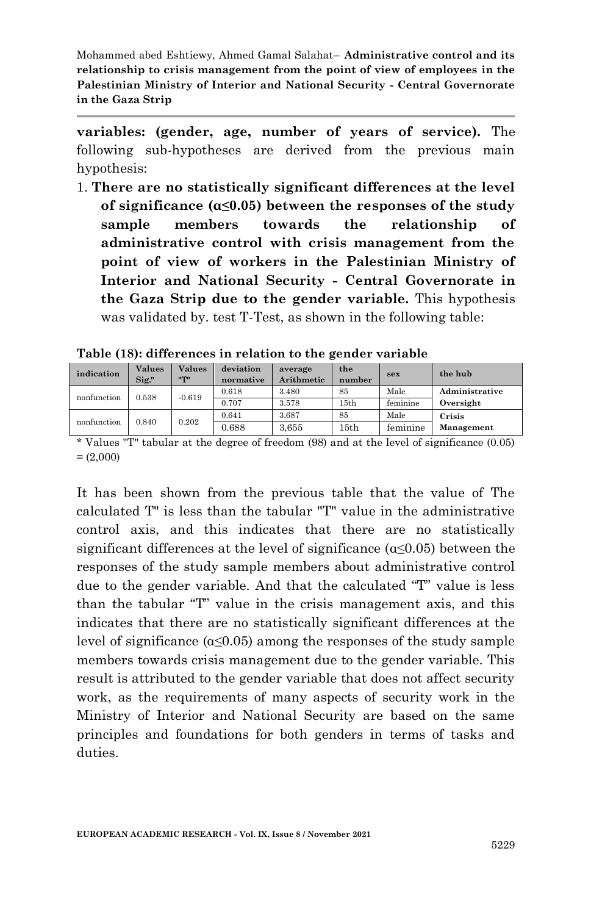**variables: (gender, age, number of years of service).** The following sub-hypotheses are derived from the previous main hypothesis:

1. **There are no statistically significant differences at the level of significance (α≤0.05) between the responses of the study sample members towards the relationship of administrative control with crisis management from the point of view of workers in the Palestinian Ministry of Interior and National Security - Central Governorate in the Gaza Strip due to the gender variable.** This hypothesis was validated by. test T-Test, as shown in the following table:

| indication  | <b>Values</b><br>Sig." | <b>Values</b><br>$n_{\text{min}}$ | deviation<br>normative | average<br><b>Arithmetic</b> | the<br>number | sex      | the hub        |
|-------------|------------------------|-----------------------------------|------------------------|------------------------------|---------------|----------|----------------|
| nonfunction | 0.538                  | $-0.619$                          | 0.618                  | 3.480                        | 85            | Male     | Administrative |
|             |                        |                                   | 0.707                  | 3.578                        | 15th          | feminine | Oversight      |
| nonfunction | 0.840                  | 0.202                             | 0.641                  | 3.687                        | 85            | Male     | Crisis         |
|             |                        |                                   | 0.688                  | 3.655                        | 15th          | feminine | Management     |

**Table (18): differences in relation to the gender variable**

\* Values "T" tabular at the degree of freedom (98) and at the level of significance (0.05)  $= (2,000)$ 

It has been shown from the previous table that the value of The calculated T" is less than the tabular "T" value in the administrative control axis, and this indicates that there are no statistically significant differences at the level of significance ( $\alpha \leq 0.05$ ) between the responses of the study sample members about administrative control due to the gender variable. And that the calculated "T" value is less than the tabular "T" value in the crisis management axis, and this indicates that there are no statistically significant differences at the level of significance  $(\alpha \leq 0.05)$  among the responses of the study sample members towards crisis management due to the gender variable. This result is attributed to the gender variable that does not affect security work, as the requirements of many aspects of security work in the Ministry of Interior and National Security are based on the same principles and foundations for both genders in terms of tasks and duties.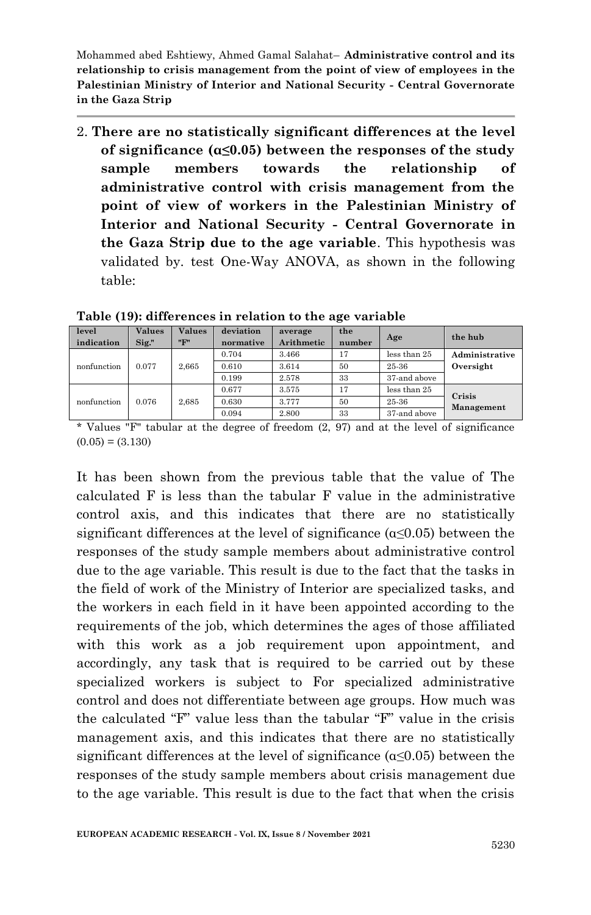2. **There are no statistically significant differences at the level of significance (α≤0.05) between the responses of the study sample members towards the relationship of administrative control with crisis management from the point of view of workers in the Palestinian Ministry of Interior and National Security - Central Governorate in the Gaza Strip due to the age variable**. This hypothesis was validated by. test One-Way ANOVA, as shown in the following table:

| level<br>indication | <b>Values</b><br>$\mathrm{Sig}$ ." | <b>Values</b><br>"F" | deviation<br>normative | average<br>Arithmetic | the<br>number | Age          | the hub        |
|---------------------|------------------------------------|----------------------|------------------------|-----------------------|---------------|--------------|----------------|
|                     |                                    |                      | 0.704                  | 3.466                 | 17            | less than 25 | Administrative |
| nonfunction         | 0.077                              | 2.665                | 0.610                  | 3.614                 | 50            | 25-36        | Oversight      |
|                     |                                    |                      | 0.199                  | 2.578                 | 33            | 37-and above |                |
|                     |                                    |                      | 0.677                  | 3.575                 | 17            | less than 25 | Crisis         |
| nonfunction         | 0.076                              | 2.685                | 0.630                  | 3.777                 | 50            | 25-36        | Management     |
|                     |                                    |                      | 0.094                  | 2.800                 | 33            | 37-and above |                |

**Table (19): differences in relation to the age variable**

\* Values "F" tabular at the degree of freedom (2, 97) and at the level of significance  $(0.05) = (3.130)$ 

It has been shown from the previous table that the value of The calculated F is less than the tabular F value in the administrative control axis, and this indicates that there are no statistically significant differences at the level of significance  $(\alpha \le 0.05)$  between the responses of the study sample members about administrative control due to the age variable. This result is due to the fact that the tasks in the field of work of the Ministry of Interior are specialized tasks, and the workers in each field in it have been appointed according to the requirements of the job, which determines the ages of those affiliated with this work as a job requirement upon appointment, and accordingly, any task that is required to be carried out by these specialized workers is subject to For specialized administrative control and does not differentiate between age groups. How much was the calculated "F" value less than the tabular "F" value in the crisis management axis, and this indicates that there are no statistically significant differences at the level of significance  $(\alpha \leq 0.05)$  between the responses of the study sample members about crisis management due to the age variable. This result is due to the fact that when the crisis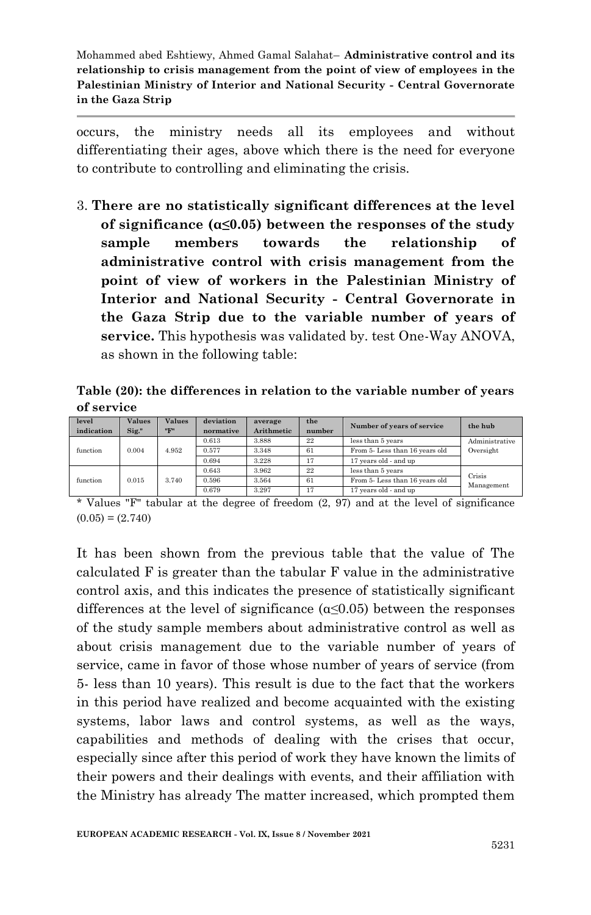occurs, the ministry needs all its employees and without differentiating their ages, above which there is the need for everyone to contribute to controlling and eliminating the crisis.

3. **There are no statistically significant differences at the level of significance (α≤0.05) between the responses of the study sample members towards the relationship of administrative control with crisis management from the point of view of workers in the Palestinian Ministry of Interior and National Security - Central Governorate in the Gaza Strip due to the variable number of years of service.** This hypothesis was validated by. test One-Way ANOVA, as shown in the following table:

**Table (20): the differences in relation to the variable number of years of service**

| level<br>indication | <b>Values</b><br>Sig." | <b>Values</b><br>"F" | deviation<br>normative | average<br>Arithmetic | the<br>number | Number of years of service     | the hub        |
|---------------------|------------------------|----------------------|------------------------|-----------------------|---------------|--------------------------------|----------------|
|                     |                        |                      | 0.613                  | 3.888                 | 22            | less than 5 years              | Administrative |
| function            | 0.004                  | 4.952                | 0.577                  | 3.348                 | 61            | From 5- Less than 16 years old | Oversight      |
|                     |                        |                      | 0.694                  | 3.228                 | 17            | 17 years old - and up          |                |
|                     |                        |                      | 0.643                  | 3.962                 | 22            | less than 5 years              | Crisis         |
| function            | 0.015                  | 3.740                | 0.596                  | 3.564                 | 61            | From 5- Less than 16 years old | Management     |
|                     |                        |                      | 0.679                  | 3.297                 | 17            | 17 years old - and up          |                |

\* Values "F" tabular at the degree of freedom (2, 97) and at the level of significance  $(0.05) = (2.740)$ 

It has been shown from the previous table that the value of The calculated F is greater than the tabular F value in the administrative control axis, and this indicates the presence of statistically significant differences at the level of significance  $(\alpha \leq 0.05)$  between the responses of the study sample members about administrative control as well as about crisis management due to the variable number of years of service, came in favor of those whose number of years of service (from 5- less than 10 years). This result is due to the fact that the workers in this period have realized and become acquainted with the existing systems, labor laws and control systems, as well as the ways, capabilities and methods of dealing with the crises that occur, especially since after this period of work they have known the limits of their powers and their dealings with events, and their affiliation with the Ministry has already The matter increased, which prompted them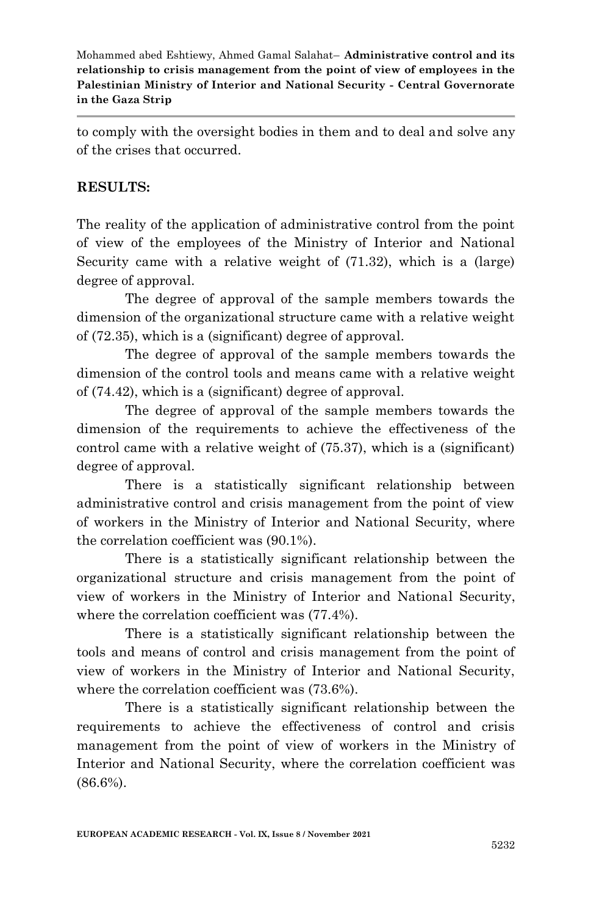to comply with the oversight bodies in them and to deal and solve any of the crises that occurred.

### **RESULTS:**

The reality of the application of administrative control from the point of view of the employees of the Ministry of Interior and National Security came with a relative weight of (71.32), which is a (large) degree of approval.

The degree of approval of the sample members towards the dimension of the organizational structure came with a relative weight of (72.35), which is a (significant) degree of approval.

The degree of approval of the sample members towards the dimension of the control tools and means came with a relative weight of (74.42), which is a (significant) degree of approval.

The degree of approval of the sample members towards the dimension of the requirements to achieve the effectiveness of the control came with a relative weight of (75.37), which is a (significant) degree of approval.

There is a statistically significant relationship between administrative control and crisis management from the point of view of workers in the Ministry of Interior and National Security, where the correlation coefficient was (90.1%).

There is a statistically significant relationship between the organizational structure and crisis management from the point of view of workers in the Ministry of Interior and National Security, where the correlation coefficient was (77.4%).

There is a statistically significant relationship between the tools and means of control and crisis management from the point of view of workers in the Ministry of Interior and National Security, where the correlation coefficient was (73.6%).

There is a statistically significant relationship between the requirements to achieve the effectiveness of control and crisis management from the point of view of workers in the Ministry of Interior and National Security, where the correlation coefficient was (86.6%).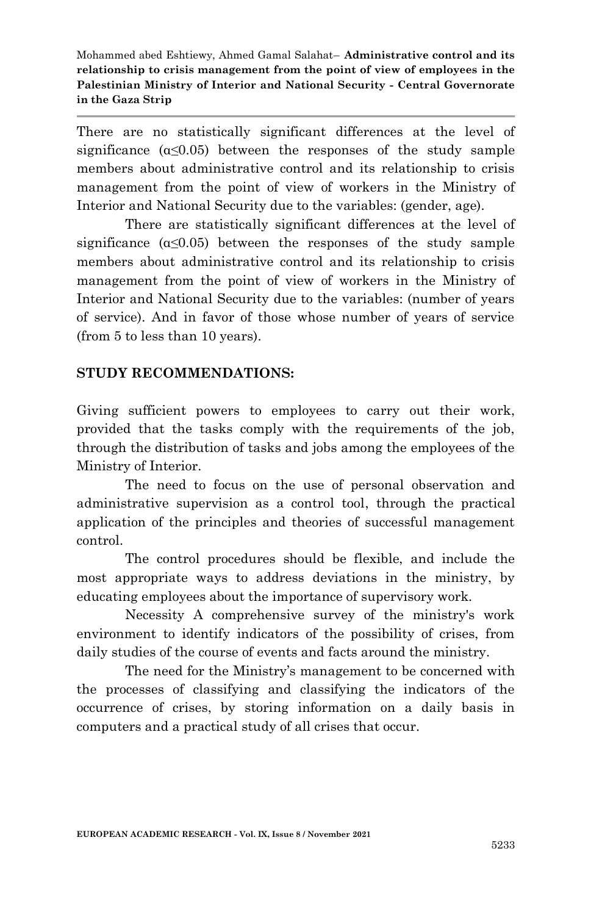There are no statistically significant differences at the level of significance  $(\alpha \leq 0.05)$  between the responses of the study sample members about administrative control and its relationship to crisis management from the point of view of workers in the Ministry of Interior and National Security due to the variables: (gender, age).

There are statistically significant differences at the level of significance  $(\alpha \leq 0.05)$  between the responses of the study sample members about administrative control and its relationship to crisis management from the point of view of workers in the Ministry of Interior and National Security due to the variables: (number of years of service). And in favor of those whose number of years of service (from 5 to less than 10 years).

### **STUDY RECOMMENDATIONS:**

Giving sufficient powers to employees to carry out their work, provided that the tasks comply with the requirements of the job, through the distribution of tasks and jobs among the employees of the Ministry of Interior.

The need to focus on the use of personal observation and administrative supervision as a control tool, through the practical application of the principles and theories of successful management control.

The control procedures should be flexible, and include the most appropriate ways to address deviations in the ministry, by educating employees about the importance of supervisory work.

Necessity A comprehensive survey of the ministry's work environment to identify indicators of the possibility of crises, from daily studies of the course of events and facts around the ministry.

The need for the Ministry's management to be concerned with the processes of classifying and classifying the indicators of the occurrence of crises, by storing information on a daily basis in computers and a practical study of all crises that occur.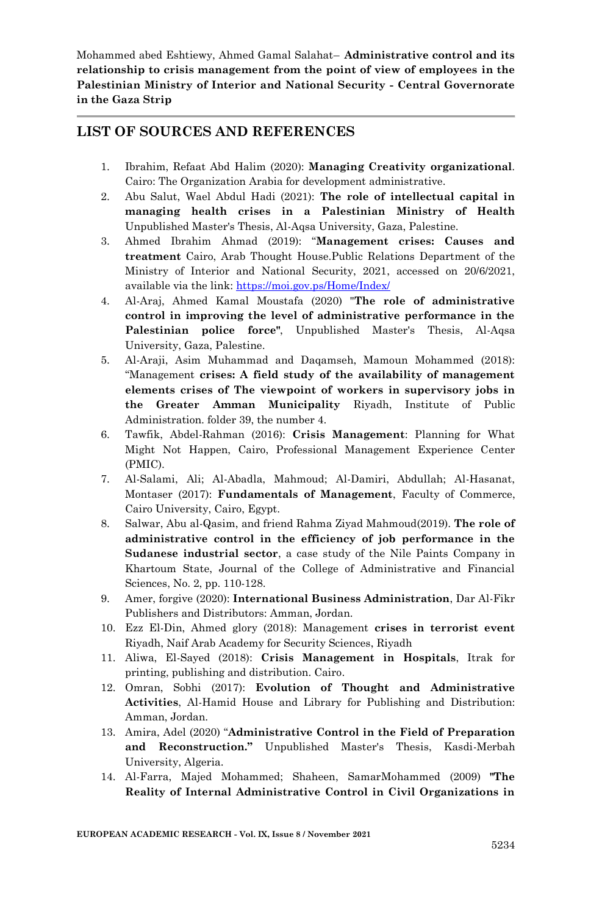#### **LIST OF SOURCES AND REFERENCES**

- 1. Ibrahim, Refaat Abd Halim (2020): **Managing Creativity organizational**. Cairo: The Organization Arabia for development administrative.
- 2. Abu Salut, Wael Abdul Hadi (2021): **The role of intellectual capital in managing health crises in a Palestinian Ministry of Health**  Unpublished Master's Thesis, Al-Aqsa University, Gaza, Palestine.
- 3. Ahmed Ibrahim Ahmad (2019): "**Management crises: Causes and treatment** Cairo, Arab Thought House.Public Relations Department of the Ministry of Interior and National Security, 2021, accessed on 20/6/2021, available via the link:<https://moi.gov.ps/Home/Index/>
- 4. Al-Araj, Ahmed Kamal Moustafa (2020) "**The role of administrative control in improving the level of administrative performance in the Palestinian police force"**, Unpublished Master's Thesis, Al-Aqsa University, Gaza, Palestine.
- 5. Al-Araji, Asim Muhammad and Daqamseh, Mamoun Mohammed (2018): "Management **crises: A field study of the availability of management elements crises of The viewpoint of workers in supervisory jobs in the Greater Amman Municipality** Riyadh, Institute of Public Administration. folder 39, the number 4.
- 6. Tawfik, Abdel-Rahman (2016): **Crisis Management**: Planning for What Might Not Happen, Cairo, Professional Management Experience Center (PMIC).
- 7. Al-Salami, Ali; Al-Abadla, Mahmoud; Al-Damiri, Abdullah; Al-Hasanat, Montaser (2017): **Fundamentals of Management**, Faculty of Commerce, Cairo University, Cairo, Egypt.
- 8. Salwar, Abu al-Qasim, and friend Rahma Ziyad Mahmoud(2019). **The role of administrative control in the efficiency of job performance in the Sudanese industrial sector**, a case study of the Nile Paints Company in Khartoum State, Journal of the College of Administrative and Financial Sciences, No. 2, pp. 110-128.
- 9. Amer, forgive (2020): **International Business Administration**, Dar Al-Fikr Publishers and Distributors: Amman, Jordan.
- 10. Ezz El-Din, Ahmed glory (2018): Management **crises in terrorist event** Riyadh, Naif Arab Academy for Security Sciences, Riyadh
- 11. Aliwa, El-Sayed (2018): **Crisis Management in Hospitals**, Itrak for printing, publishing and distribution. Cairo.
- 12. Omran, Sobhi (2017): **Evolution of Thought and Administrative Activities**, Al-Hamid House and Library for Publishing and Distribution: Amman, Jordan.
- 13. Amira, Adel (2020) "**Administrative Control in the Field of Preparation and Reconstruction."** Unpublished Master's Thesis, Kasdi-Merbah University, Algeria.
- 14. Al-Farra, Majed Mohammed; Shaheen, SamarMohammed (2009) **"The Reality of Internal Administrative Control in Civil Organizations in**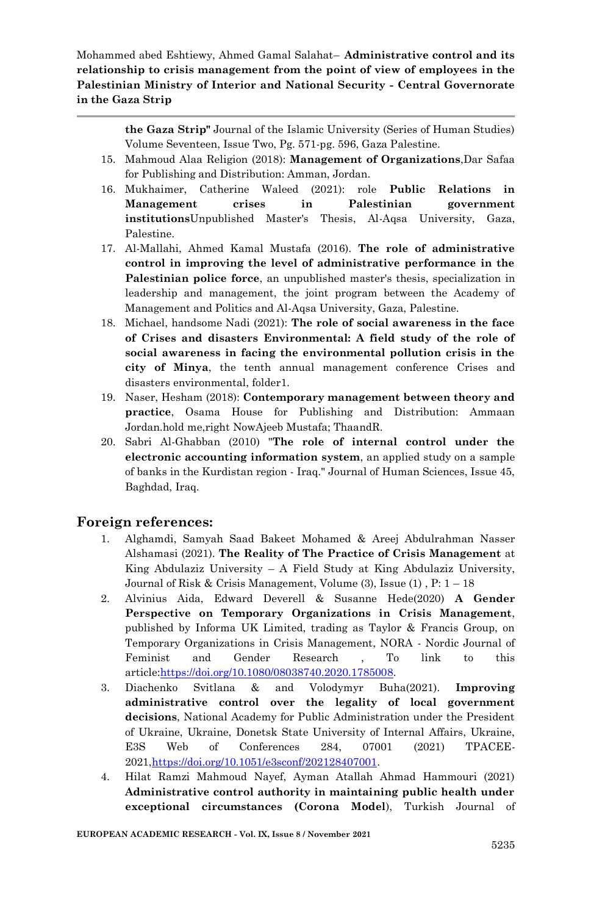> **the Gaza Strip"** Journal of the Islamic University (Series of Human Studies) Volume Seventeen, Issue Two, Pg. 571-pg. 596, Gaza Palestine.

- 15. Mahmoud Alaa Religion (2018): **Management of Organizations**,Dar Safaa for Publishing and Distribution: Amman, Jordan.
- 16. Mukhaimer, Catherine Waleed (2021): role **Public Relations in Management crises in Palestinian government institutions**Unpublished Master's Thesis, Al-Aqsa University, Gaza, Palestine.
- 17. Al-Mallahi, Ahmed Kamal Mustafa (2016). **The role of administrative control in improving the level of administrative performance in the Palestinian police force**, an unpublished master's thesis, specialization in leadership and management, the joint program between the Academy of Management and Politics and Al-Aqsa University, Gaza, Palestine.
- 18. Michael, handsome Nadi (2021): **The role of social awareness in the face of Crises and disasters Environmental: A field study of the role of social awareness in facing the environmental pollution crisis in the city of Minya**, the tenth annual management conference Crises and disasters environmental, folder1.
- 19. Naser, Hesham (2018): **Contemporary management between theory and practice**, Osama House for Publishing and Distribution: Ammaan Jordan.hold me,right NowAjeeb Mustafa; ThaandR.
- 20. Sabri Al-Ghabban (2010) "**The role of internal control under the electronic accounting information system**, an applied study on a sample of banks in the Kurdistan region - Iraq." Journal of Human Sciences, Issue 45, Baghdad, Iraq.

#### **Foreign references:**

- 1. Alghamdi, Samyah Saad Bakeet Mohamed & Areej Abdulrahman Nasser Alshamasi (2021). **The Reality of The Practice of Crisis Management** at King Abdulaziz University – A Field Study at King Abdulaziz University, Journal of Risk & Crisis Management, Volume  $(3)$ , Issue  $(1)$ , P:  $1-18$
- 2. Alvinius Aida, Edward Deverell & Susanne Hede(2020) **A Gender Perspective on Temporary Organizations in Crisis Management**, published by Informa UK Limited, trading as Taylor & Francis Group, on Temporary Organizations in Crisis Management, NORA - Nordic Journal of Feminist and Gender Research , To link to this articl[e:https://doi.org/10.1080/08038740.2020.1785008.](https://doi.org/10.1080/08038740.2020.1785008)
- 3. Diachenko Svitlana & and Volodymyr Buha(2021). **Improving administrative control over the legality of local government decisions**, National Academy for Public Administration under the President of Ukraine, Ukraine, Donetsk State University of Internal Affairs, Ukraine, E3S Web of Conferences 284, 07001 (2021) TPACEE-2021[,https://doi.org/10.1051/e3sconf/202128407001.](https://doi.org/10.1051/e3sconf/202128407001)
- 4. Hilat Ramzi Mahmoud Nayef, Ayman Atallah Ahmad Hammouri (2021) **Administrative control authority in maintaining public health under exceptional circumstances (Corona Model**), Turkish Journal of